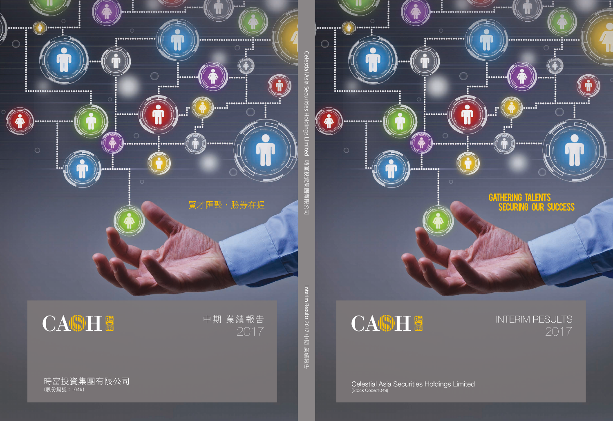



# INTERIM RESULTS

Celestial Asia Securities Holdings Limited<br>
(Stock Code:1049)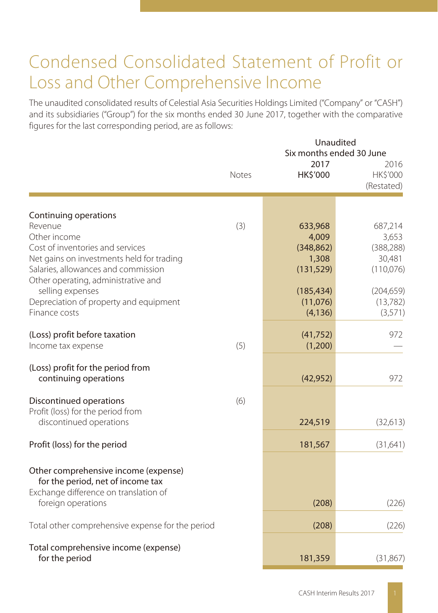# Condensed Consolidated Statement of Profit or Loss and Other Comprehensive Income

The unaudited consolidated results of Celestial Asia Securities Holdings Limited ("Company" or "CASH") and its subsidiaries ("Group") for the six months ended 30 June 2017, together with the comparative figures for the last corresponding period, are as follows:

|                                                                                                                                                                                                                                     | <b>Notes</b> | 2017<br>HK\$'000                                                    | Unaudited<br>Six months ended 30 June<br>2016<br>HK\$'000<br>(Restated) |
|-------------------------------------------------------------------------------------------------------------------------------------------------------------------------------------------------------------------------------------|--------------|---------------------------------------------------------------------|-------------------------------------------------------------------------|
|                                                                                                                                                                                                                                     |              |                                                                     |                                                                         |
| Continuing operations<br>Revenue<br>Other income<br>Cost of inventories and services<br>Net gains on investments held for trading<br>Salaries, allowances and commission<br>Other operating, administrative and<br>selling expenses | (3)          | 633,968<br>4,009<br>(348, 862)<br>1,308<br>(131, 529)<br>(185, 434) | 687,214<br>3,653<br>(388, 288)<br>30,481<br>(110,076)<br>(204, 659)     |
| Depreciation of property and equipment<br>Finance costs                                                                                                                                                                             |              | (11,076)<br>(4, 136)                                                | (13, 782)<br>(3,571)                                                    |
| (Loss) profit before taxation<br>Income tax expense                                                                                                                                                                                 | (5)          | (41, 752)<br>(1,200)                                                | 972                                                                     |
| (Loss) profit for the period from<br>continuing operations                                                                                                                                                                          |              | (42, 952)                                                           | 972                                                                     |
| Discontinued operations<br>Profit (loss) for the period from<br>discontinued operations                                                                                                                                             | (6)          | 224,519                                                             | (32,613)                                                                |
| Profit (loss) for the period                                                                                                                                                                                                        |              | 181,567                                                             | (31,641)                                                                |
| Other comprehensive income (expense)<br>for the period, net of income tax<br>Exchange difference on translation of<br>foreign operations                                                                                            |              | (208)                                                               | (226)                                                                   |
| Total other comprehensive expense for the period                                                                                                                                                                                    |              | (208)                                                               | (226)                                                                   |
| Total comprehensive income (expense)<br>for the period                                                                                                                                                                              |              | 181,359                                                             | (31, 867)                                                               |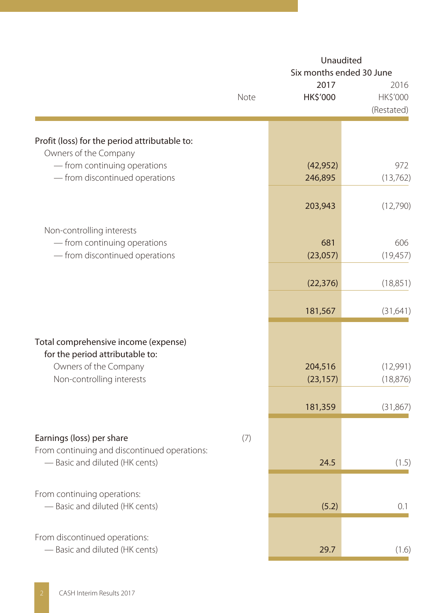|                                                                                             |      |                      | Unaudited<br>Six months ended 30 June |
|---------------------------------------------------------------------------------------------|------|----------------------|---------------------------------------|
|                                                                                             | Note | 2017<br>HK\$'000     | 2016<br>HK\$'000<br>(Restated)        |
| Profit (loss) for the period attributable to:                                               |      |                      |                                       |
| Owners of the Company<br>- from continuing operations<br>- from discontinued operations     |      | (42, 952)<br>246,895 | 972<br>(13,762)                       |
|                                                                                             |      | 203,943              | (12,790)                              |
| Non-controlling interests<br>- from continuing operations<br>- from discontinued operations |      | 681<br>(23,057)      | 606<br>(19,457)                       |
|                                                                                             |      | (22, 376)            | (18, 851)                             |
|                                                                                             |      | 181,567              | (31, 641)                             |
| Total comprehensive income (expense)<br>for the period attributable to:                     |      |                      |                                       |
| Owners of the Company<br>Non-controlling interests                                          |      | 204,516<br>(23, 157) | (12,991)<br>(18, 876)                 |
|                                                                                             |      | 181,359              | (31, 867)                             |
| Earnings (loss) per share<br>From continuing and discontinued operations:                   | (7)  |                      |                                       |
| - Basic and diluted (HK cents)                                                              |      | 24.5                 | (1.5)                                 |
| From continuing operations:<br>- Basic and diluted (HK cents)                               |      | (5.2)                | 0.1                                   |
| From discontinued operations:<br>- Basic and diluted (HK cents)                             |      | 29.7                 | (1.6)                                 |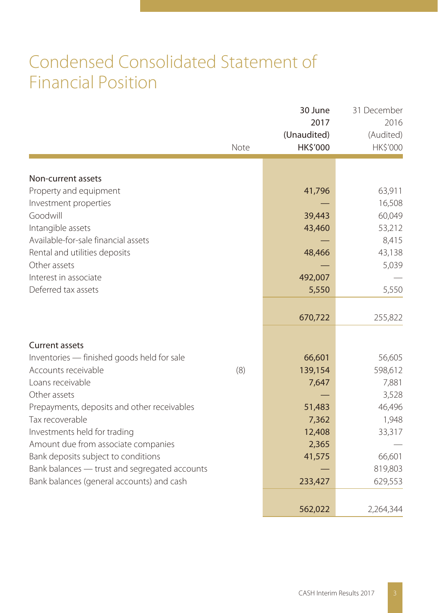# Condensed Consolidated Statement of Financial Position

|                                               | Note | 30 June<br>2017<br>(Unaudited)<br>HK\$'000 | 31 December<br>2016<br>(Audited)<br>HK\$'000 |
|-----------------------------------------------|------|--------------------------------------------|----------------------------------------------|
|                                               |      |                                            |                                              |
| Non-current assets<br>Property and equipment  |      | 41,796                                     | 63,911                                       |
| Investment properties                         |      |                                            | 16,508                                       |
| Goodwill                                      |      | 39,443                                     | 60,049                                       |
| Intangible assets                             |      | 43,460                                     | 53,212                                       |
| Available-for-sale financial assets           |      |                                            | 8,415                                        |
| Rental and utilities deposits                 |      | 48,466                                     | 43,138                                       |
| Other assets                                  |      |                                            | 5,039                                        |
| Interest in associate                         |      | 492,007                                    |                                              |
| Deferred tax assets                           |      | 5,550                                      | 5,550                                        |
|                                               |      |                                            |                                              |
|                                               |      | 670,722                                    | 255,822                                      |
| <b>Current assets</b>                         |      |                                            |                                              |
| Inventories - finished goods held for sale    |      | 66,601                                     | 56,605                                       |
| Accounts receivable                           | (8)  | 139,154                                    | 598,612                                      |
| Loans receivable                              |      | 7,647                                      | 7,881                                        |
| Other assets                                  |      |                                            | 3,528                                        |
| Prepayments, deposits and other receivables   |      | 51,483                                     | 46,496                                       |
| Tax recoverable                               |      | 7,362                                      | 1,948                                        |
| Investments held for trading                  |      | 12,408                                     | 33,317                                       |
| Amount due from associate companies           |      | 2,365                                      |                                              |
| Bank deposits subject to conditions           |      | 41,575                                     | 66,601                                       |
| Bank balances - trust and segregated accounts |      |                                            | 819,803                                      |
| Bank balances (general accounts) and cash     |      | 233,427                                    | 629,553                                      |
|                                               |      | 562,022                                    | 2,264,344                                    |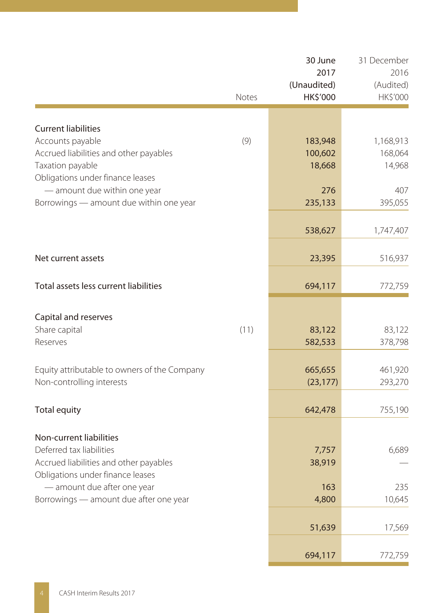|                                                                                                                                                                                                            | Notes | 30 June<br>2017<br>(Unaudited)<br>HK\$'000 | 31 December<br>2016<br>(Audited)<br>HK\$'000 |
|------------------------------------------------------------------------------------------------------------------------------------------------------------------------------------------------------------|-------|--------------------------------------------|----------------------------------------------|
|                                                                                                                                                                                                            |       |                                            |                                              |
| <b>Current liabilities</b><br>Accounts payable<br>Accrued liabilities and other payables<br>Taxation payable                                                                                               | (9)   | 183,948<br>100,602<br>18,668               | 1,168,913<br>168,064<br>14,968               |
| Obligations under finance leases<br>- amount due within one year<br>Borrowings - amount due within one year                                                                                                |       | 276<br>235,133                             | 407<br>395,055                               |
|                                                                                                                                                                                                            |       | 538,627                                    | 1,747,407                                    |
| Net current assets                                                                                                                                                                                         |       | 23,395                                     | 516,937                                      |
| Total assets less current liabilities                                                                                                                                                                      |       | 694,117                                    | 772,759                                      |
| Capital and reserves<br>Share capital<br>Reserves                                                                                                                                                          | (11)  | 83,122<br>582,533                          | 83,122<br>378,798                            |
| Equity attributable to owners of the Company<br>Non-controlling interests                                                                                                                                  |       | 665,655<br>(23, 177)                       | 461,920<br>293,270                           |
| <b>Total equity</b>                                                                                                                                                                                        |       | 642,478                                    | 755,190                                      |
| Non-current liabilities<br>Deferred tax liabilities<br>Accrued liabilities and other payables<br>Obligations under finance leases<br>- amount due after one year<br>Borrowings - amount due after one year |       | 7,757<br>38,919<br>163<br>4,800            | 6,689<br>235<br>10,645                       |
|                                                                                                                                                                                                            |       | 51,639                                     | 17,569                                       |
|                                                                                                                                                                                                            |       | 694,117                                    | 772,759                                      |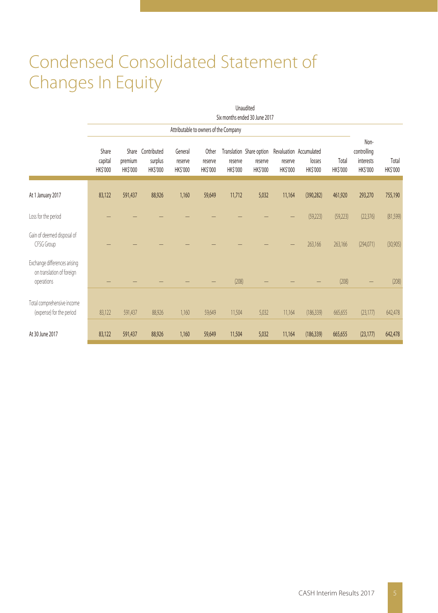# Condensed Consolidated Statement of Changes In Equity

|                                                                         | Unaudited<br>Six months ended 30 June 2017 |                              |                                    |                                |                              |                     |                                                 |                     |                                               |                   |                                              |                   |
|-------------------------------------------------------------------------|--------------------------------------------|------------------------------|------------------------------------|--------------------------------|------------------------------|---------------------|-------------------------------------------------|---------------------|-----------------------------------------------|-------------------|----------------------------------------------|-------------------|
|                                                                         | Attributable to owners of the Company      |                              |                                    |                                |                              |                     |                                                 |                     |                                               |                   |                                              |                   |
|                                                                         | Share<br>capital<br>HK\$'000               | Share<br>premium<br>HK\$'000 | Contributed<br>surplus<br>HK\$'000 | General<br>reserve<br>HK\$'000 | Other<br>reserve<br>HK\$'000 | reserve<br>HK\$'000 | Translation Share option<br>reserve<br>HK\$'000 | reserve<br>HK\$'000 | Revaluation Accumulated<br>losses<br>HK\$'000 | Total<br>HK\$'000 | Non-<br>controlling<br>interests<br>HK\$'000 | Total<br>HK\$'000 |
| At 1 January 2017                                                       | 83,122                                     | 591,437                      | 88,926                             | 1,160                          | 59,649                       | 11,712              | 5,032                                           | 11,164              | (390, 282)                                    | 461,920           | 293,270                                      | 755,190           |
| Loss for the period                                                     |                                            |                              |                                    |                                |                              |                     |                                                 |                     | (59,223)                                      | (59,223)          | (22, 376)                                    | (81, 599)         |
| Gain of deemed disposal of<br>CFSG Group                                |                                            |                              |                                    |                                |                              |                     |                                                 |                     | 263,166                                       | 263,166           | (294,071)                                    | (30,905)          |
| Exchange differences arising<br>on translation of foreign<br>operations |                                            |                              |                                    |                                |                              | (208)               |                                                 |                     |                                               | (208)             |                                              | (208)             |
| Total comprehensive income<br>(expense) for the period                  | 83,122                                     | 591,437                      | 88,926                             | 1,160                          | 59,649                       | 11,504              | 5,032                                           | 11,164              | (186, 339)                                    | 665,655           | (23, 177)                                    | 642,478           |
| At 30 June 2017                                                         | 83,122                                     | 591,437                      | 88,926                             | 1,160                          | 59,649                       | 11,504              | 5,032                                           | 11,164              | (186, 339)                                    | 665,655           | (23, 177)                                    | 642,478           |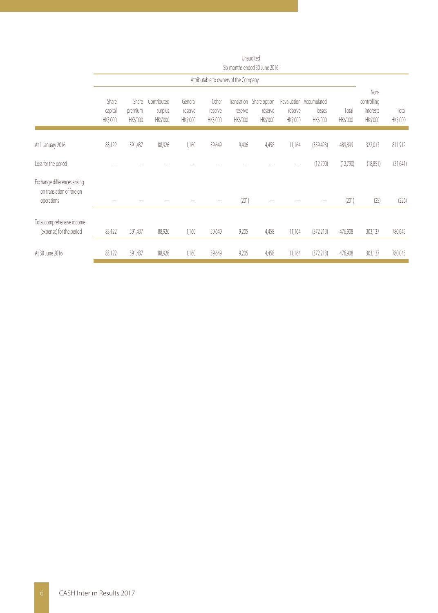|                                                                         | Six months ended 30 June 2016 |                                    |                                    |                                |                              |                                       |                                                 |                           |                                               |                   |                                              |                   |
|-------------------------------------------------------------------------|-------------------------------|------------------------------------|------------------------------------|--------------------------------|------------------------------|---------------------------------------|-------------------------------------------------|---------------------------|-----------------------------------------------|-------------------|----------------------------------------------|-------------------|
|                                                                         |                               |                                    |                                    |                                |                              | Attributable to owners of the Company |                                                 |                           |                                               |                   |                                              |                   |
|                                                                         | Share<br>capital<br>HK\$'000  | Share<br>premium<br><b>HKS'000</b> | Contributed<br>surplus<br>HK\$'000 | General<br>reserve<br>HK\$'000 | Other<br>reserve<br>HK\$'000 | reserve<br>HK\$'000                   | Translation Share option<br>reserve<br>HK\$'000 | reserve<br><b>HKS'000</b> | Revaluation Accumulated<br>losses<br>HK\$'000 | Total<br>HK\$'000 | Non-<br>controlling<br>interests<br>HK\$'000 | Total<br>HK\$'000 |
| At 1 January 2016                                                       | 83,122                        | 591,437                            | 88,926                             | 1,160                          | 59,649                       | 9,406                                 | 4,458                                           | 11,164                    | (359, 423)                                    | 489,899           | 322,013                                      | 811,912           |
| Loss for the period                                                     |                               |                                    |                                    |                                |                              |                                       |                                                 |                           | (12,790)                                      | (12,790)          | (18, 851)                                    | (31,641)          |
| Exchange differences arising<br>on translation of foreign<br>operations |                               |                                    |                                    |                                |                              | (201)                                 |                                                 |                           |                                               | (201)             | (25)                                         | (226)             |
| Total comprehensive income<br>(expense) for the period                  | 83,122                        | 591,437                            | 88,926                             | 1,160                          | 59,649                       | 9,205                                 | 4,458                                           | 11,164                    | (372, 213)                                    | 476,908           | 303,137                                      | 780,045           |
| At 30 June 2016                                                         | 83,122                        | 591,437                            | 88,926                             | 1,160                          | 59,649                       | 9,205                                 | 4,458                                           | 11,164                    | (372, 213)                                    | 476,908           | 303,137                                      | 780,045           |

Unaudited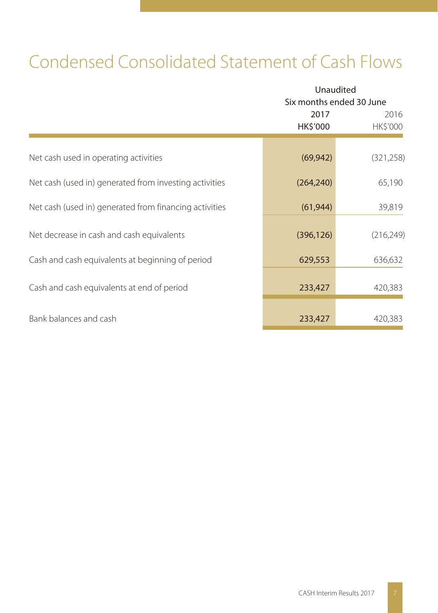# Condensed Consolidated Statement of Cash Flows

|                                                        | Unaudited<br>Six months ended 30 June |                  |  |
|--------------------------------------------------------|---------------------------------------|------------------|--|
|                                                        | 2017<br>HK\$'000                      | 2016<br>HK\$'000 |  |
| Net cash used in operating activities                  | (69, 942)                             | (321, 258)       |  |
| Net cash (used in) generated from investing activities | (264, 240)                            | 65,190           |  |
| Net cash (used in) generated from financing activities | (61, 944)                             | 39,819           |  |
| Net decrease in cash and cash equivalents              | (396, 126)                            | (216, 249)       |  |
| Cash and cash equivalents at beginning of period       | 629,553                               | 636,632          |  |
| Cash and cash equivalents at end of period             | 233,427                               | 420,383          |  |
| Bank balances and cash                                 | 233,427                               | 420,383          |  |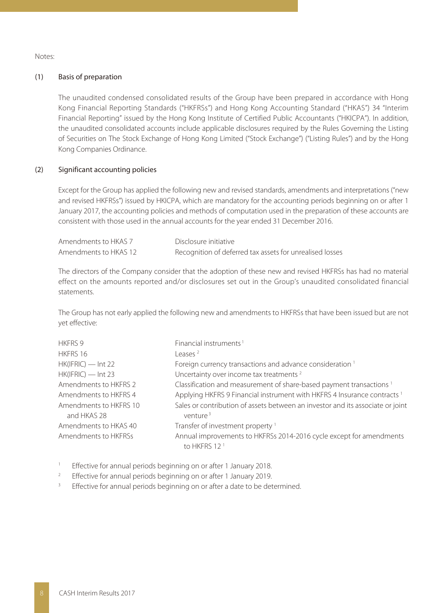Notes:

#### (1) Basis of preparation

The unaudited condensed consolidated results of the Group have been prepared in accordance with Hong Kong Financial Reporting Standards ("HKFRSs") and Hong Kong Accounting Standard ("HKAS") 34 "Interim Financial Reporting" issued by the Hong Kong Institute of Certified Public Accountants ("HKICPA"). In addition, the unaudited consolidated accounts include applicable disclosures required by the Rules Governing the Listing of Securities on The Stock Exchange of Hong Kong Limited ("Stock Exchange") ("Listing Rules") and by the Hong Kong Companies Ordinance.

#### (2) Significant accounting policies

Except for the Group has applied the following new and revised standards, amendments and interpretations ("new and revised HKFRSs") issued by HKICPA, which are mandatory for the accounting periods beginning on or after 1 January 2017, the accounting policies and methods of computation used in the preparation of these accounts are consistent with those used in the annual accounts for the year ended 31 December 2016.

| Amendments to HKAS 7  | Disclosure initiative                                    |
|-----------------------|----------------------------------------------------------|
| Amendments to HKAS 12 | Recognition of deferred tax assets for unrealised losses |

The directors of the Company consider that the adoption of these new and revised HKFRSs has had no material effect on the amounts reported and/or disclosures set out in the Group's unaudited consolidated financial statements.

The Group has not early applied the following new and amendments to HKFRSs that have been issued but are not yet effective:

| <b>HKFRS 9</b>                        | Financial instruments <sup>1</sup>                                                                     |
|---------------------------------------|--------------------------------------------------------------------------------------------------------|
| HKFRS 16                              | $1$ eases $2$                                                                                          |
| $HK(IFRIC)$ — Int 22                  | Foreign currency transactions and advance consideration <sup>1</sup>                                   |
| $HK(IFRIC)$ - Int 23                  | Uncertainty over income tax treatments <sup>2</sup>                                                    |
| Amendments to HKFRS 2                 | Classification and measurement of share-based payment transactions <sup>1</sup>                        |
| Amendments to HKFRS 4                 | Applying HKFRS 9 Financial instrument with HKFRS 4 Insurance contracts <sup>1</sup>                    |
| Amendments to HKFRS 10<br>and HKAS 28 | Sales or contribution of assets between an investor and its associate or joint<br>venture <sup>3</sup> |
| Amendments to HKAS 40                 | Transfer of investment property <sup>1</sup>                                                           |
| Amendments to HKFRSs                  | Annual improvements to HKFRSs 2014-2016 cycle except for amendments<br>to HKFRS 12 <sup>1</sup>        |

1 Effective for annual periods beginning on or after 1 January 2018.

- 2 Effective for annual periods beginning on or after 1 January 2019.
- 3 Effective for annual periods beginning on or after a date to be determined.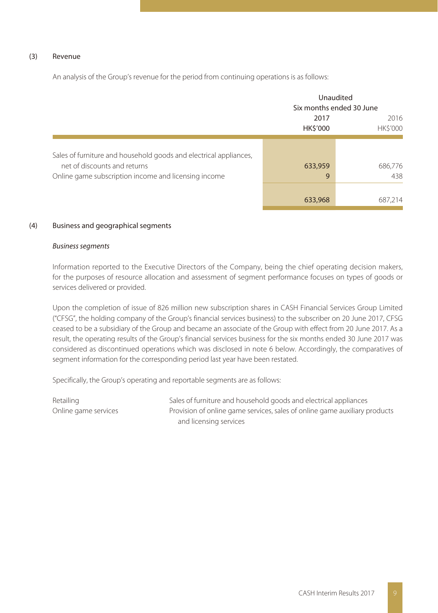#### (3) Revenue

An analysis of the Group's revenue for the period from continuing operations is as follows:

|                                                                                                                                                           |                         | Unaudited<br>Six months ended 30 June |
|-----------------------------------------------------------------------------------------------------------------------------------------------------------|-------------------------|---------------------------------------|
|                                                                                                                                                           | 2017<br><b>HK\$'000</b> | 2016<br><b>HK\$'000</b>               |
| Sales of furniture and household goods and electrical appliances,<br>net of discounts and returns<br>Online game subscription income and licensing income | 633,959<br>9<br>633,968 | 686,776<br>438<br>687,214             |

#### (4) Business and geographical segments

#### Business segments

Information reported to the Executive Directors of the Company, being the chief operating decision makers, for the purposes of resource allocation and assessment of segment performance focuses on types of goods or services delivered or provided.

Upon the completion of issue of 826 million new subscription shares in CASH Financial Services Group Limited ("CFSG", the holding company of the Group's financial services business) to the subscriber on 20 June 2017, CFSG ceased to be a subsidiary of the Group and became an associate of the Group with effect from 20 June 2017. As a result, the operating results of the Group's financial services business for the six months ended 30 June 2017 was considered as discontinued operations which was disclosed in note 6 below. Accordingly, the comparatives of segment information for the corresponding period last year have been restated.

Specifically, the Group's operating and reportable segments are as follows:

Retailing Sales of furniture and household goods and electrical appliances Online game services **Provision of online game services**, sales of online game auxiliary products and licensing services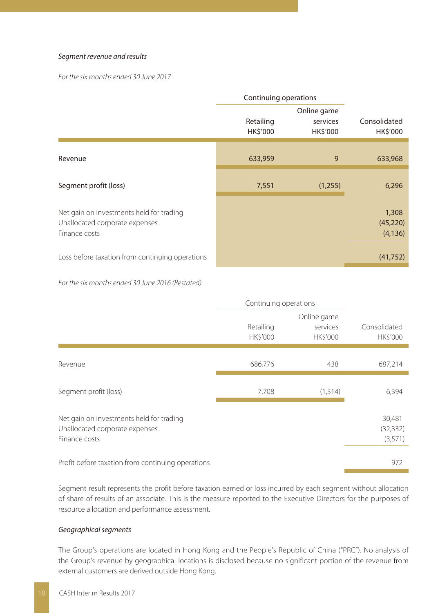#### Segment revenue and results

For the six months ended 30 June 2017

|                                                                                             | Continuing operations |                                     |                                 |
|---------------------------------------------------------------------------------------------|-----------------------|-------------------------------------|---------------------------------|
|                                                                                             | Retailing<br>HK\$'000 | Online game<br>services<br>HK\$'000 | Consolidated<br><b>HK\$'000</b> |
| Revenue                                                                                     | 633,959               | 9                                   | 633,968                         |
| Segment profit (loss)                                                                       | 7,551                 | (1,255)                             | 6,296                           |
| Net gain on investments held for trading<br>Unallocated corporate expenses<br>Finance costs |                       |                                     | 1,308<br>(45, 220)<br>(4, 136)  |
| Loss before taxation from continuing operations                                             |                       |                                     | (41,752)                        |

For the six months ended 30 June 2016 (Restated)

|                                                                                             | Continuing operations |                                            |                                 |
|---------------------------------------------------------------------------------------------|-----------------------|--------------------------------------------|---------------------------------|
|                                                                                             | Retailing<br>HK\$'000 | Online game<br>services<br><b>HK\$'000</b> | Consolidated<br><b>HK\$'000</b> |
| Revenue                                                                                     | 686,776               | 438                                        | 687,214                         |
| Segment profit (loss)                                                                       | 7,708                 | (1, 314)                                   | 6,394                           |
| Net gain on investments held for trading<br>Unallocated corporate expenses<br>Finance costs |                       |                                            | 30,481<br>(32, 332)<br>(3,571)  |
| Profit before taxation from continuing operations                                           |                       |                                            | 972                             |

Segment result represents the profit before taxation earned or loss incurred by each segment without allocation of share of results of an associate. This is the measure reported to the Executive Directors for the purposes of resource allocation and performance assessment.

#### Geographical segments

The Group's operations are located in Hong Kong and the People's Republic of China ("PRC"). No analysis of the Group's revenue by geographical locations is disclosed because no significant portion of the revenue from external customers are derived outside Hong Kong.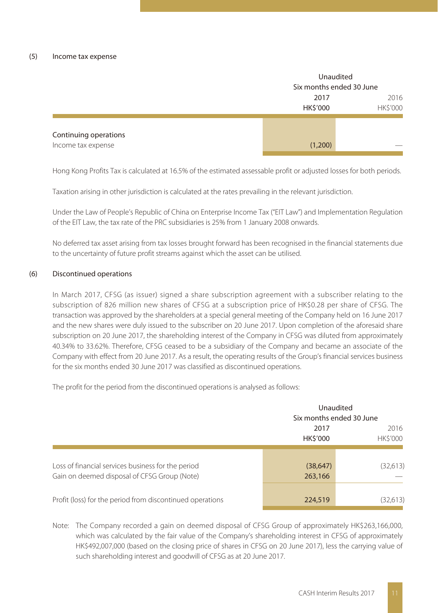|                       |          | Unaudited                |  |  |
|-----------------------|----------|--------------------------|--|--|
|                       |          | Six months ended 30 June |  |  |
|                       | 2017     | 2016                     |  |  |
|                       | HK\$'000 | HK\$'000                 |  |  |
|                       |          |                          |  |  |
|                       |          |                          |  |  |
| Continuing operations |          |                          |  |  |
| Income tax expense    | (1,200)  | __                       |  |  |

Hong Kong Profits Tax is calculated at 16.5% of the estimated assessable profit or adjusted losses for both periods.

Taxation arising in other jurisdiction is calculated at the rates prevailing in the relevant jurisdiction.

Under the Law of People's Republic of China on Enterprise Income Tax ("EIT Law") and Implementation Regulation of the EIT Law, the tax rate of the PRC subsidiaries is 25% from 1 January 2008 onwards.

No deferred tax asset arising from tax losses brought forward has been recognised in the financial statements due to the uncertainty of future profit streams against which the asset can be utilised.

#### (6) Discontinued operations

In March 2017, CFSG (as issuer) signed a share subscription agreement with a subscriber relating to the subscription of 826 million new shares of CFSG at a subscription price of HK\$0.28 per share of CFSG. The transaction was approved by the shareholders at a special general meeting of the Company held on 16 June 2017 and the new shares were duly issued to the subscriber on 20 June 2017. Upon completion of the aforesaid share subscription on 20 June 2017, the shareholding interest of the Company in CFSG was diluted from approximately 40.34% to 33.62%. Therefore, CFSG ceased to be a subsidiary of the Company and became an associate of the Company with effect from 20 June 2017. As a result, the operating results of the Group's financial services business for the six months ended 30 June 2017 was classified as discontinued operations.

The profit for the period from the discontinued operations is analysed as follows:

|                                                                                                    | Unaudited<br>Six months ended 30 June |                        |
|----------------------------------------------------------------------------------------------------|---------------------------------------|------------------------|
|                                                                                                    |                                       |                        |
|                                                                                                    | 2017<br><b>HKS'000</b>                | 2016<br><b>HKS'000</b> |
| Loss of financial services business for the period<br>Gain on deemed disposal of CFSG Group (Note) | (38, 647)<br>263,166                  | (32,613)               |
| Profit (loss) for the period from discontinued operations                                          | 224,519                               | (32,613)               |

Note: The Company recorded a gain on deemed disposal of CFSG Group of approximately HK\$263,166,000, which was calculated by the fair value of the Company's shareholding interest in CFSG of approximately HK\$492,007,000 (based on the closing price of shares in CFSG on 20 June 2017), less the carrying value of such shareholding interest and goodwill of CFSG as at 20 June 2017.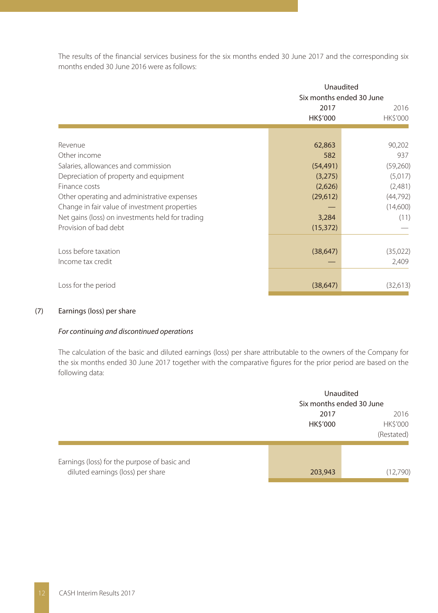The results of the financial services business for the six months ended 30 June 2017 and the corresponding six months ended 30 June 2016 were as follows:

|                                                  | Unaudited<br>Six months ended 30 June |                         |
|--------------------------------------------------|---------------------------------------|-------------------------|
|                                                  | 2017<br><b>HK\$'000</b>               | 2016<br><b>HK\$'000</b> |
|                                                  |                                       |                         |
| Revenue                                          | 62,863                                | 90,202                  |
| Other income                                     | 582                                   | 937                     |
| Salaries, allowances and commission              | (54, 491)                             | (59,260)                |
| Depreciation of property and equipment           | (3,275)                               | (5,017)                 |
| Finance costs                                    | (2,626)                               | (2,481)                 |
| Other operating and administrative expenses      | (29,612)                              | (44, 792)               |
| Change in fair value of investment properties    |                                       | (14,600)                |
| Net gains (loss) on investments held for trading | 3,284                                 | (11)                    |
| Provision of bad debt                            | (15, 372)                             |                         |
|                                                  |                                       |                         |
| Loss before taxation                             | (38, 647)                             | (35,022)                |
| Income tax credit                                |                                       | 2,409                   |
| Loss for the period                              | (38, 647)                             | (32,613)                |

#### (7) Earnings (loss) per share

#### For continuing and discontinued operations

The calculation of the basic and diluted earnings (loss) per share attributable to the owners of the Company for the six months ended 30 June 2017 together with the comparative figures for the prior period are based on the following data:

|                                                                                   | Unaudited<br>Six months ended 30 June |                                |
|-----------------------------------------------------------------------------------|---------------------------------------|--------------------------------|
|                                                                                   | 2017<br><b>HK\$'000</b>               | 2016<br>HK\$'000<br>(Restated) |
| Earnings (loss) for the purpose of basic and<br>diluted earnings (loss) per share | 203,943                               | (12,790)                       |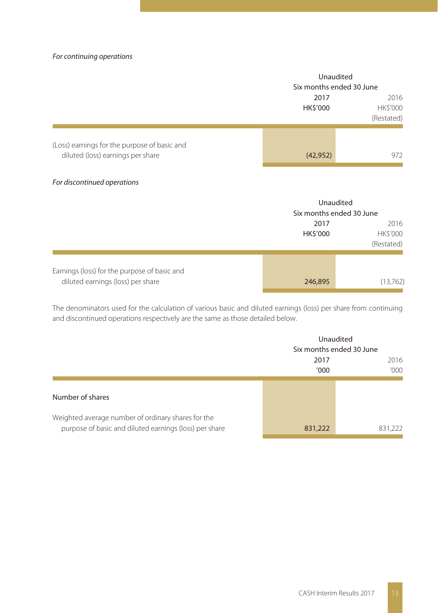#### For continuing operations

|                                              | Unaudited<br>Six months ended 30 June |                  |
|----------------------------------------------|---------------------------------------|------------------|
|                                              |                                       |                  |
|                                              | 2017<br><b>HK\$'000</b>               | 2016<br>HK\$'000 |
|                                              |                                       | (Restated)       |
| (Loss) earnings for the purpose of basic and |                                       |                  |
| diluted (loss) earnings per share            | (42, 952)                             | 972              |

#### For discontinued operations

|                                                                                   |          | Unaudited<br>Six months ended 30 June |  |
|-----------------------------------------------------------------------------------|----------|---------------------------------------|--|
|                                                                                   |          |                                       |  |
|                                                                                   | 2017     | 2016                                  |  |
|                                                                                   | HK\$'000 | <b>HK\$'000</b>                       |  |
|                                                                                   |          | (Restated)                            |  |
|                                                                                   |          |                                       |  |
| Earnings (loss) for the purpose of basic and<br>diluted earnings (loss) per share | 246,895  | (13,762)                              |  |

The denominators used for the calculation of various basic and diluted earnings (loss) per share from continuing and discontinued operations respectively are the same as those detailed below.

|                                                                                                              | Unaudited<br>Six months ended 30 June |         |
|--------------------------------------------------------------------------------------------------------------|---------------------------------------|---------|
|                                                                                                              | 2017                                  | 2016    |
|                                                                                                              | '000                                  | '000'   |
| Number of shares                                                                                             |                                       |         |
| Weighted average number of ordinary shares for the<br>purpose of basic and diluted earnings (loss) per share | 831,222                               | 831,222 |
|                                                                                                              |                                       |         |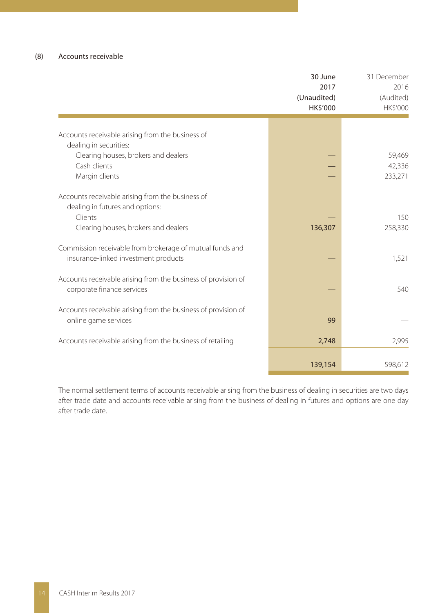|                                                                                                  | 30 June<br>2017<br>(Unaudited)<br>HK\$'000 | 31 December<br>2016<br>(Audited)<br>HK\$'000 |
|--------------------------------------------------------------------------------------------------|--------------------------------------------|----------------------------------------------|
|                                                                                                  |                                            |                                              |
| Accounts receivable arising from the business of                                                 |                                            |                                              |
| dealing in securities:<br>Clearing houses, brokers and dealers                                   |                                            | 59,469                                       |
| Cash clients                                                                                     |                                            | 42,336                                       |
| Margin clients                                                                                   |                                            | 233,271                                      |
| Accounts receivable arising from the business of<br>dealing in futures and options:              |                                            |                                              |
| Clients                                                                                          |                                            | 150                                          |
| Clearing houses, brokers and dealers                                                             | 136,307                                    | 258,330                                      |
| Commission receivable from brokerage of mutual funds and<br>insurance-linked investment products |                                            | 1,521                                        |
| Accounts receivable arising from the business of provision of<br>corporate finance services      |                                            | 540                                          |
| Accounts receivable arising from the business of provision of<br>online game services            | 99                                         |                                              |
| Accounts receivable arising from the business of retailing                                       | 2,748                                      | 2,995                                        |
|                                                                                                  |                                            |                                              |
|                                                                                                  | 139,154                                    | 598,612                                      |

The normal settlement terms of accounts receivable arising from the business of dealing in securities are two days after trade date and accounts receivable arising from the business of dealing in futures and options are one day after trade date.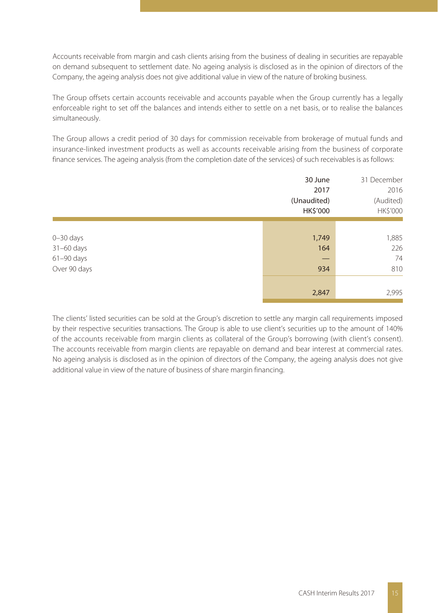Accounts receivable from margin and cash clients arising from the business of dealing in securities are repayable on demand subsequent to settlement date. No ageing analysis is disclosed as in the opinion of directors of the Company, the ageing analysis does not give additional value in view of the nature of broking business.

The Group offsets certain accounts receivable and accounts payable when the Group currently has a legally enforceable right to set off the balances and intends either to settle on a net basis, or to realise the balances simultaneously.

The Group allows a credit period of 30 days for commission receivable from brokerage of mutual funds and insurance-linked investment products as well as accounts receivable arising from the business of corporate finance services. The ageing analysis (from the completion date of the services) of such receivables is as follows:

|                | 30 June<br>2017<br>(Unaudited)<br>HK\$'000 | 31 December<br>2016<br>(Audited)<br>HK\$'000 |
|----------------|--------------------------------------------|----------------------------------------------|
| $0 - 30$ days  | 1,749                                      | 1,885                                        |
| 31-60 days     | 164                                        | 226                                          |
| $61 - 90$ days | –                                          | 74                                           |
| Over 90 days   | 934                                        | 810                                          |
|                | 2,847                                      | 2,995                                        |

The clients' listed securities can be sold at the Group's discretion to settle any margin call requirements imposed by their respective securities transactions. The Group is able to use client's securities up to the amount of 140% of the accounts receivable from margin clients as collateral of the Group's borrowing (with client's consent). The accounts receivable from margin clients are repayable on demand and bear interest at commercial rates. No ageing analysis is disclosed as in the opinion of directors of the Company, the ageing analysis does not give additional value in view of the nature of business of share margin financing.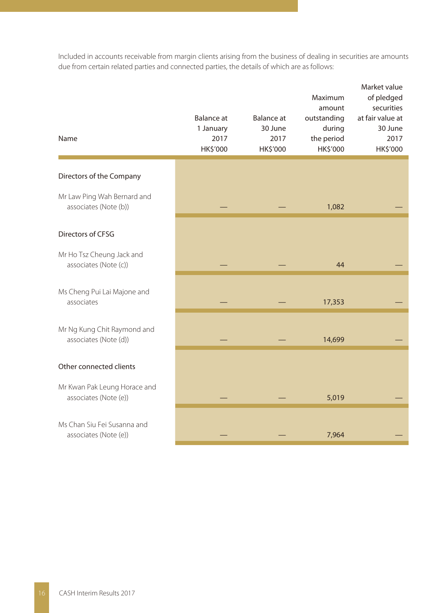Included in accounts receivable from margin clients arising from the business of dealing in securities are amounts due from certain related parties and connected parties, the details of which are as follows:

| Name                                                  | <b>Balance</b> at<br>1 January<br>2017<br>HK\$'000 | Balance at<br>30 June<br>2017<br>HK\$'000 | Maximum<br>amount<br>outstanding<br>during<br>the period<br>HK\$'000 | Market value<br>of pledged<br>securities<br>at fair value at<br>30 June<br>2017<br><b>HK\$'000</b> |
|-------------------------------------------------------|----------------------------------------------------|-------------------------------------------|----------------------------------------------------------------------|----------------------------------------------------------------------------------------------------|
| Directors of the Company                              |                                                    |                                           |                                                                      |                                                                                                    |
| Mr Law Ping Wah Bernard and<br>associates (Note (b))  |                                                    |                                           | 1,082                                                                |                                                                                                    |
| Directors of CFSG                                     |                                                    |                                           |                                                                      |                                                                                                    |
| Mr Ho Tsz Cheung Jack and<br>associates (Note (c))    |                                                    |                                           | 44                                                                   |                                                                                                    |
| Ms Cheng Pui Lai Majone and<br>associates             |                                                    |                                           | 17,353                                                               |                                                                                                    |
| Mr Ng Kung Chit Raymond and<br>associates (Note (d))  |                                                    |                                           | 14,699                                                               |                                                                                                    |
| Other connected clients                               |                                                    |                                           |                                                                      |                                                                                                    |
| Mr Kwan Pak Leung Horace and<br>associates (Note (e)) |                                                    |                                           | 5,019                                                                |                                                                                                    |
| Ms Chan Siu Fei Susanna and<br>associates (Note (e))  |                                                    |                                           | 7,964                                                                |                                                                                                    |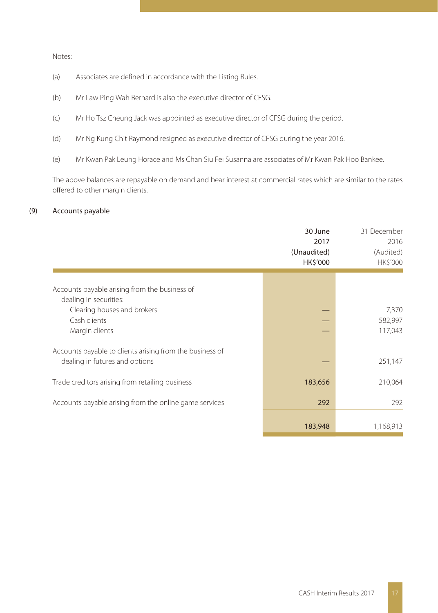Notes:

- (a) Associates are defined in accordance with the Listing Rules.
- (b) Mr Law Ping Wah Bernard is also the executive director of CFSG.
- (c) Mr Ho Tsz Cheung Jack was appointed as executive director of CFSG during the period.
- (d) Mr Ng Kung Chit Raymond resigned as executive director of CFSG during the year 2016.
- (e) Mr Kwan Pak Leung Horace and Ms Chan Siu Fei Susanna are associates of Mr Kwan Pak Hoo Bankee.

The above balances are repayable on demand and bear interest at commercial rates which are similar to the rates offered to other margin clients.

#### (9) Accounts payable

|                                                                                            | 30 June<br>2017<br>(Unaudited)<br><b>HK\$'000</b> | 31 December<br>2016<br>(Audited)<br>HK\$'000 |
|--------------------------------------------------------------------------------------------|---------------------------------------------------|----------------------------------------------|
| Accounts payable arising from the business of<br>dealing in securities:                    |                                                   |                                              |
| Clearing houses and brokers<br>Cash clients<br>Margin clients                              |                                                   | 7,370<br>582,997<br>117,043                  |
| Accounts payable to clients arising from the business of<br>dealing in futures and options |                                                   | 251,147                                      |
| Trade creditors arising from retailing business                                            | 183,656                                           | 210,064                                      |
| Accounts payable arising from the online game services                                     | 292                                               | 292                                          |
|                                                                                            | 183,948                                           | 1,168,913                                    |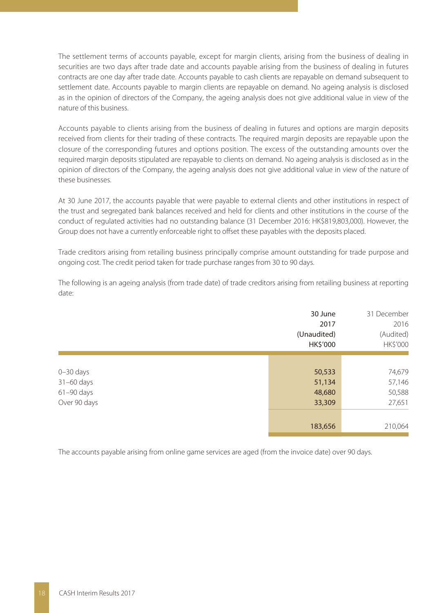The settlement terms of accounts payable, except for margin clients, arising from the business of dealing in securities are two days after trade date and accounts payable arising from the business of dealing in futures contracts are one day after trade date. Accounts payable to cash clients are repayable on demand subsequent to settlement date. Accounts payable to margin clients are repayable on demand. No ageing analysis is disclosed as in the opinion of directors of the Company, the ageing analysis does not give additional value in view of the nature of this business.

Accounts payable to clients arising from the business of dealing in futures and options are margin deposits received from clients for their trading of these contracts. The required margin deposits are repayable upon the closure of the corresponding futures and options position. The excess of the outstanding amounts over the required margin deposits stipulated are repayable to clients on demand. No ageing analysis is disclosed as in the opinion of directors of the Company, the ageing analysis does not give additional value in view of the nature of these businesses.

At 30 June 2017, the accounts payable that were payable to external clients and other institutions in respect of the trust and segregated bank balances received and held for clients and other institutions in the course of the conduct of regulated activities had no outstanding balance (31 December 2016: HK\$819,803,000). However, the Group does not have a currently enforceable right to offset these payables with the deposits placed.

Trade creditors arising from retailing business principally comprise amount outstanding for trade purpose and ongoing cost. The credit period taken for trade purchase ranges from 30 to 90 days.

The following is an ageing analysis (from trade date) of trade creditors arising from retailing business at reporting date:

|                | 30 June<br>2017<br>(Unaudited)<br>HK\$'000 | 31 December<br>2016<br>(Audited)<br>HK\$'000 |
|----------------|--------------------------------------------|----------------------------------------------|
|                |                                            |                                              |
| $0 - 30$ days  | 50,533                                     | 74,679                                       |
| $31-60$ days   | 51,134                                     | 57,146                                       |
| $61 - 90$ days | 48,680                                     | 50,588                                       |
| Over 90 days   | 33,309                                     | 27,651                                       |
|                |                                            |                                              |
|                | 183,656                                    | 210,064                                      |
|                |                                            |                                              |

The accounts payable arising from online game services are aged (from the invoice date) over 90 days.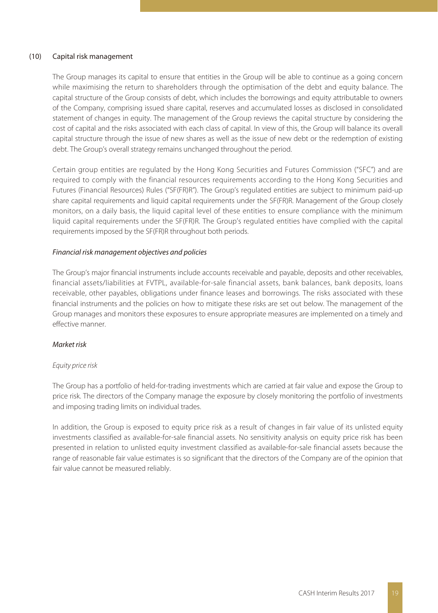#### (10) Capital risk management

The Group manages its capital to ensure that entities in the Group will be able to continue as a going concern while maximising the return to shareholders through the optimisation of the debt and equity balance. The capital structure of the Group consists of debt, which includes the borrowings and equity attributable to owners of the Company, comprising issued share capital, reserves and accumulated losses as disclosed in consolidated statement of changes in equity. The management of the Group reviews the capital structure by considering the cost of capital and the risks associated with each class of capital. In view of this, the Group will balance its overall capital structure through the issue of new shares as well as the issue of new debt or the redemption of existing debt. The Group's overall strategy remains unchanged throughout the period.

Certain group entities are regulated by the Hong Kong Securities and Futures Commission ("SFC") and are required to comply with the financial resources requirements according to the Hong Kong Securities and Futures (Financial Resources) Rules ("SF(FR)R"). The Group's regulated entities are subject to minimum paid-up share capital requirements and liquid capital requirements under the SF(FR)R. Management of the Group closely monitors, on a daily basis, the liquid capital level of these entities to ensure compliance with the minimum liquid capital requirements under the SF(FR)R. The Group's regulated entities have complied with the capital requirements imposed by the SF(FR)R throughout both periods.

#### Financial risk management objectives and policies

The Group's major financial instruments include accounts receivable and payable, deposits and other receivables, financial assets/liabilities at FVTPL, available-for-sale financial assets, bank balances, bank deposits, loans receivable, other payables, obligations under finance leases and borrowings. The risks associated with these financial instruments and the policies on how to mitigate these risks are set out below. The management of the Group manages and monitors these exposures to ensure appropriate measures are implemented on a timely and effective manner.

#### Market risk

#### Equity price risk

The Group has a portfolio of held-for-trading investments which are carried at fair value and expose the Group to price risk. The directors of the Company manage the exposure by closely monitoring the portfolio of investments and imposing trading limits on individual trades.

In addition, the Group is exposed to equity price risk as a result of changes in fair value of its unlisted equity investments classified as available-for-sale financial assets. No sensitivity analysis on equity price risk has been presented in relation to unlisted equity investment classified as available-for-sale financial assets because the range of reasonable fair value estimates is so significant that the directors of the Company are of the opinion that fair value cannot be measured reliably.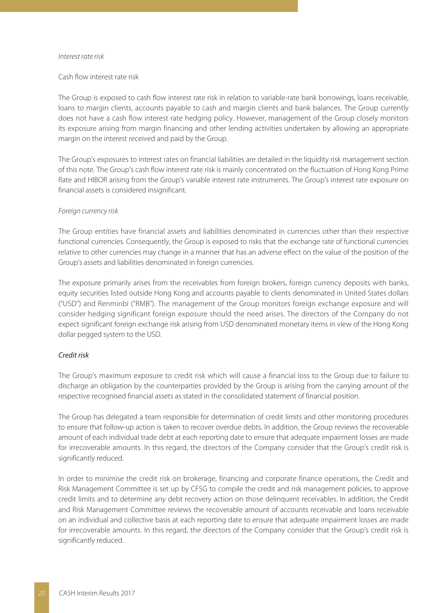#### Interest rate risk

#### Cash flow interest rate risk

The Group is exposed to cash flow interest rate risk in relation to variable-rate bank borrowings, loans receivable, loans to margin clients, accounts payable to cash and margin clients and bank balances. The Group currently does not have a cash flow interest rate hedging policy. However, management of the Group closely monitors its exposure arising from margin financing and other lending activities undertaken by allowing an appropriate margin on the interest received and paid by the Group.

The Group's exposures to interest rates on financial liabilities are detailed in the liquidity risk management section of this note. The Group's cash flow interest rate risk is mainly concentrated on the fluctuation of Hong Kong Prime Rate and HIBOR arising from the Group's variable interest rate instruments. The Group's interest rate exposure on financial assets is considered insignificant.

#### Foreign currency risk

The Group entities have financial assets and liabilities denominated in currencies other than their respective functional currencies. Consequently, the Group is exposed to risks that the exchange rate of functional currencies relative to other currencies may change in a manner that has an adverse effect on the value of the position of the Group's assets and liabilities denominated in foreign currencies.

The exposure primarily arises from the receivables from foreign brokers, foreign currency deposits with banks, equity securities listed outside Hong Kong and accounts payable to clients denominated in United States dollars ("USD") and Renminbi ("RMB"). The management of the Group monitors foreign exchange exposure and will consider hedging significant foreign exposure should the need arises. The directors of the Company do not expect significant foreign exchange risk arising from USD denominated monetary items in view of the Hong Kong dollar pegged system to the USD.

#### Credit risk

The Group's maximum exposure to credit risk which will cause a financial loss to the Group due to failure to discharge an obligation by the counterparties provided by the Group is arising from the carrying amount of the respective recognised financial assets as stated in the consolidated statement of financial position.

The Group has delegated a team responsible for determination of credit limits and other monitoring procedures to ensure that follow-up action is taken to recover overdue debts. In addition, the Group reviews the recoverable amount of each individual trade debt at each reporting date to ensure that adequate impairment losses are made for irrecoverable amounts. In this regard, the directors of the Company consider that the Group's credit risk is significantly reduced.

In order to minimise the credit risk on brokerage, financing and corporate finance operations, the Credit and Risk Management Committee is set up by CFSG to compile the credit and risk management policies, to approve credit limits and to determine any debt recovery action on those delinquent receivables. In addition, the Credit and Risk Management Committee reviews the recoverable amount of accounts receivable and loans receivable on an individual and collective basis at each reporting date to ensure that adequate impairment losses are made for irrecoverable amounts. In this regard, the directors of the Company consider that the Group's credit risk is significantly reduced.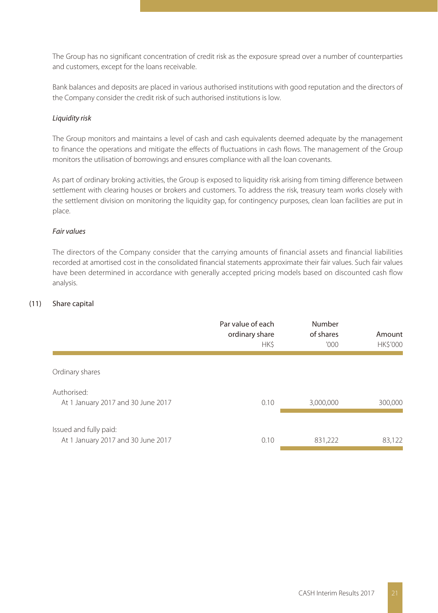The Group has no significant concentration of credit risk as the exposure spread over a number of counterparties and customers, except for the loans receivable.

Bank balances and deposits are placed in various authorised institutions with good reputation and the directors of the Company consider the credit risk of such authorised institutions is low.

#### Liquidity risk

The Group monitors and maintains a level of cash and cash equivalents deemed adequate by the management to finance the operations and mitigate the effects of fluctuations in cash flows. The management of the Group monitors the utilisation of borrowings and ensures compliance with all the loan covenants.

As part of ordinary broking activities, the Group is exposed to liquidity risk arising from timing difference between settlement with clearing houses or brokers and customers. To address the risk, treasury team works closely with the settlement division on monitoring the liquidity gap, for contingency purposes, clean loan facilities are put in place.

#### Fair values

The directors of the Company consider that the carrying amounts of financial assets and financial liabilities recorded at amortised cost in the consolidated financial statements approximate their fair values. Such fair values have been determined in accordance with generally accepted pricing models based on discounted cash flow analysis.

#### (11) Share capital

|                                                              | Par value of each<br>ordinary share<br>HK\$ | Number<br>of shares<br>'000' | Amount<br><b>HK\$'000</b> |
|--------------------------------------------------------------|---------------------------------------------|------------------------------|---------------------------|
| Ordinary shares                                              |                                             |                              |                           |
| Authorised:<br>At 1 January 2017 and 30 June 2017            | 0.10                                        | 3,000,000                    | 300,000                   |
| Issued and fully paid:<br>At 1 January 2017 and 30 June 2017 | 0.10                                        | 831,222                      | 83,122                    |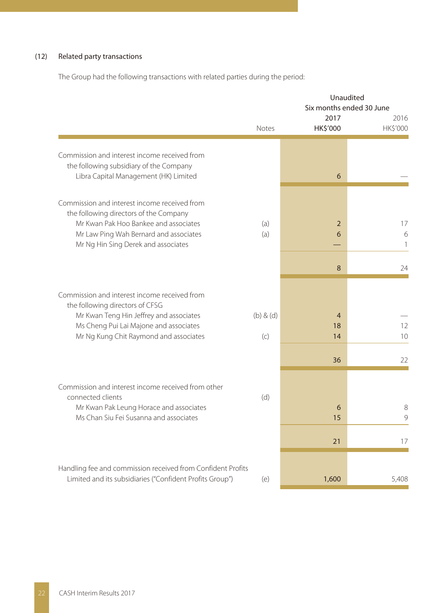#### (12) Related party transactions

The Group had the following transactions with related parties during the period:

|                                                                                                                                  | Unaudited<br>Six months ended 30 June |                            |                         |  |
|----------------------------------------------------------------------------------------------------------------------------------|---------------------------------------|----------------------------|-------------------------|--|
|                                                                                                                                  | Notes                                 | 2017<br><b>HK\$'000</b>    | 2016<br><b>HKS'000</b>  |  |
|                                                                                                                                  |                                       |                            |                         |  |
| Commission and interest income received from<br>the following subsidiary of the Company<br>Libra Capital Management (HK) Limited |                                       | 6                          |                         |  |
| Commission and interest income received from<br>the following directors of the Company                                           |                                       |                            |                         |  |
| Mr Kwan Pak Hoo Bankee and associates<br>Mr Law Ping Wah Bernard and associates<br>Mr Ng Hin Sing Derek and associates           | (a)<br>(a)                            | $\overline{2}$<br>6        | 17<br>6<br>$\mathbf{1}$ |  |
|                                                                                                                                  |                                       | 8                          | 24                      |  |
| Commission and interest income received from<br>the following directors of CFSG                                                  |                                       |                            |                         |  |
| Mr Kwan Teng Hin Jeffrey and associates<br>Ms Cheng Pui Lai Majone and associates<br>Mr Ng Kung Chit Raymond and associates      | $(b)$ & $(d)$<br>(c)                  | $\overline{4}$<br>18<br>14 | 12<br>10                |  |
|                                                                                                                                  |                                       | 36                         | 22                      |  |
| Commission and interest income received from other<br>connected clients                                                          | (d)                                   |                            |                         |  |
| Mr Kwan Pak Leung Horace and associates<br>Ms Chan Siu Fei Susanna and associates                                                |                                       | 6<br>15                    | 8<br>9                  |  |
|                                                                                                                                  |                                       | 21                         | 17                      |  |
| Handling fee and commission received from Confident Profits                                                                      |                                       |                            |                         |  |
| Limited and its subsidiaries ("Confident Profits Group")                                                                         | (e)                                   | 1,600                      | 5,408                   |  |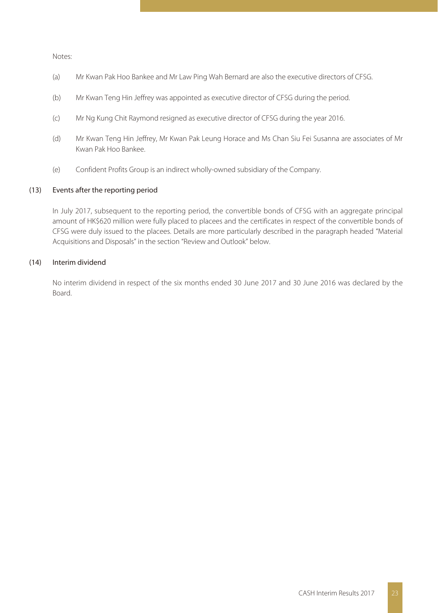Notes:

- (a) Mr Kwan Pak Hoo Bankee and Mr Law Ping Wah Bernard are also the executive directors of CFSG.
- (b) Mr Kwan Teng Hin Jeffrey was appointed as executive director of CFSG during the period.
- (c) Mr Ng Kung Chit Raymond resigned as executive director of CFSG during the year 2016.
- (d) Mr Kwan Teng Hin Jeffrey, Mr Kwan Pak Leung Horace and Ms Chan Siu Fei Susanna are associates of Mr Kwan Pak Hoo Bankee.
- (e) Confident Profits Group is an indirect wholly-owned subsidiary of the Company.

#### (13) Events after the reporting period

In July 2017, subsequent to the reporting period, the convertible bonds of CFSG with an aggregate principal amount of HK\$620 million were fully placed to placees and the certificates in respect of the convertible bonds of CFSG were duly issued to the placees. Details are more particularly described in the paragraph headed "Material Acquisitions and Disposals" in the section "Review and Outlook" below.

#### (14) Interim dividend

No interim dividend in respect of the six months ended 30 June 2017 and 30 June 2016 was declared by the Board.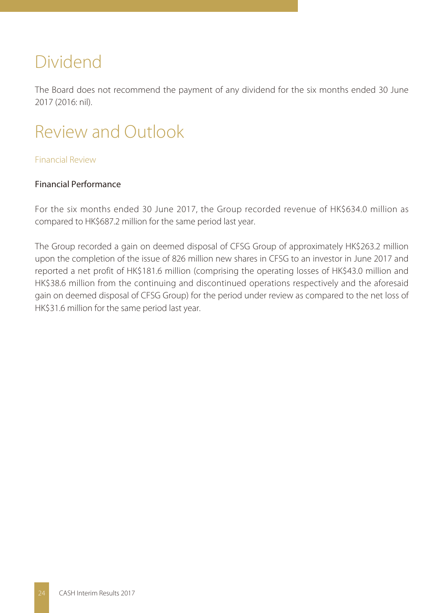# Dividend

The Board does not recommend the payment of any dividend for the six months ended 30 June 2017 (2016: nil).

# Review and Outlook

# Financial Review

# Financial Performance

For the six months ended 30 June 2017, the Group recorded revenue of HK\$634.0 million as compared to HK\$687.2 million for the same period last year.

The Group recorded a gain on deemed disposal of CFSG Group of approximately HK\$263.2 million upon the completion of the issue of 826 million new shares in CFSG to an investor in June 2017 and reported a net profit of HK\$181.6 million (comprising the operating losses of HK\$43.0 million and HK\$38.6 million from the continuing and discontinued operations respectively and the aforesaid gain on deemed disposal of CFSG Group) for the period under review as compared to the net loss of HK\$31.6 million for the same period last year.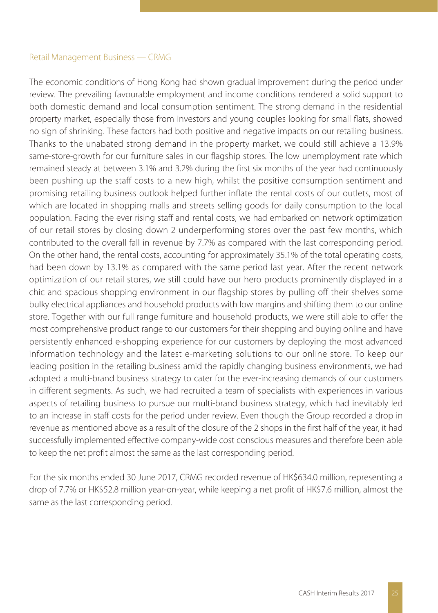#### Retail Management Business — CRMG

The economic conditions of Hong Kong had shown gradual improvement during the period under review. The prevailing favourable employment and income conditions rendered a solid support to both domestic demand and local consumption sentiment. The strong demand in the residential property market, especially those from investors and young couples looking for small flats, showed no sign of shrinking. These factors had both positive and negative impacts on our retailing business. Thanks to the unabated strong demand in the property market, we could still achieve a 13.9% same-store-growth for our furniture sales in our flagship stores. The low unemployment rate which remained steady at between 3.1% and 3.2% during the first six months of the year had continuously been pushing up the staff costs to a new high, whilst the positive consumption sentiment and promising retailing business outlook helped further inflate the rental costs of our outlets, most of which are located in shopping malls and streets selling goods for daily consumption to the local population. Facing the ever rising staff and rental costs, we had embarked on network optimization of our retail stores by closing down 2 underperforming stores over the past few months, which contributed to the overall fall in revenue by 7.7% as compared with the last corresponding period. On the other hand, the rental costs, accounting for approximately 35.1% of the total operating costs, had been down by 13.1% as compared with the same period last year. After the recent network optimization of our retail stores, we still could have our hero products prominently displayed in a chic and spacious shopping environment in our flagship stores by pulling off their shelves some bulky electrical appliances and household products with low margins and shifting them to our online store. Together with our full range furniture and household products, we were still able to offer the most comprehensive product range to our customers for their shopping and buying online and have persistently enhanced e-shopping experience for our customers by deploying the most advanced information technology and the latest e-marketing solutions to our online store. To keep our leading position in the retailing business amid the rapidly changing business environments, we had adopted a multi-brand business strategy to cater for the ever-increasing demands of our customers in different segments. As such, we had recruited a team of specialists with experiences in various aspects of retailing business to pursue our multi-brand business strategy, which had inevitably led to an increase in staff costs for the period under review. Even though the Group recorded a drop in revenue as mentioned above as a result of the closure of the 2 shops in the first half of the year, it had successfully implemented effective company-wide cost conscious measures and therefore been able to keep the net profit almost the same as the last corresponding period.

For the six months ended 30 June 2017, CRMG recorded revenue of HK\$634.0 million, representing a drop of 7.7% or HK\$52.8 million year-on-year, while keeping a net profit of HK\$7.6 million, almost the same as the last corresponding period.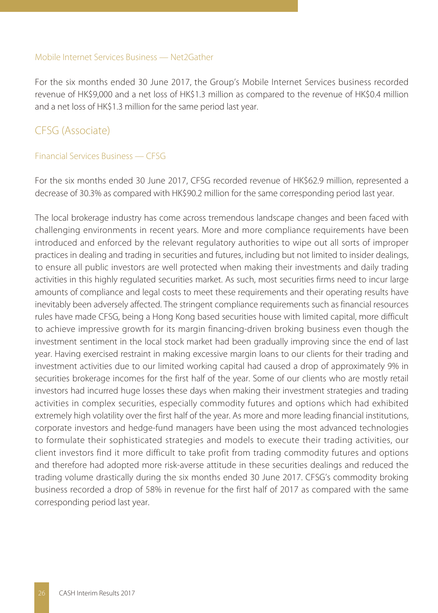#### Mobile Internet Services Business — Net2Gather

For the six months ended 30 June 2017, the Group's Mobile Internet Services business recorded revenue of HK\$9,000 and a net loss of HK\$1.3 million as compared to the revenue of HK\$0.4 million and a net loss of HK\$1.3 million for the same period last year.

# CFSG (Associate)

#### Financial Services Business — CFSG

For the six months ended 30 June 2017, CFSG recorded revenue of HK\$62.9 million, represented a decrease of 30.3% as compared with HK\$90.2 million for the same corresponding period last year.

The local brokerage industry has come across tremendous landscape changes and been faced with challenging environments in recent years. More and more compliance requirements have been introduced and enforced by the relevant regulatory authorities to wipe out all sorts of improper practices in dealing and trading in securities and futures, including but not limited to insider dealings, to ensure all public investors are well protected when making their investments and daily trading activities in this highly regulated securities market. As such, most securities firms need to incur large amounts of compliance and legal costs to meet these requirements and their operating results have inevitably been adversely affected. The stringent compliance requirements such as financial resources rules have made CFSG, being a Hong Kong based securities house with limited capital, more difficult to achieve impressive growth for its margin financing-driven broking business even though the investment sentiment in the local stock market had been gradually improving since the end of last year. Having exercised restraint in making excessive margin loans to our clients for their trading and investment activities due to our limited working capital had caused a drop of approximately 9% in securities brokerage incomes for the first half of the year. Some of our clients who are mostly retail investors had incurred huge losses these days when making their investment strategies and trading activities in complex securities, especially commodity futures and options which had exhibited extremely high volatility over the first half of the year. As more and more leading financial institutions, corporate investors and hedge-fund managers have been using the most advanced technologies to formulate their sophisticated strategies and models to execute their trading activities, our client investors find it more difficult to take profit from trading commodity futures and options and therefore had adopted more risk-averse attitude in these securities dealings and reduced the trading volume drastically during the six months ended 30 June 2017. CFSG's commodity broking business recorded a drop of 58% in revenue for the first half of 2017 as compared with the same corresponding period last year.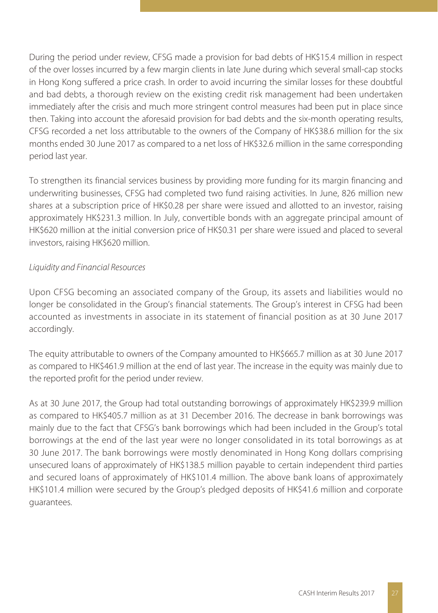During the period under review, CFSG made a provision for bad debts of HK\$15.4 million in respect of the over losses incurred by a few margin clients in late June during which several small-cap stocks in Hong Kong suffered a price crash. In order to avoid incurring the similar losses for these doubtful and bad debts, a thorough review on the existing credit risk management had been undertaken immediately after the crisis and much more stringent control measures had been put in place since then. Taking into account the aforesaid provision for bad debts and the six-month operating results, CFSG recorded a net loss attributable to the owners of the Company of HK\$38.6 million for the six months ended 30 June 2017 as compared to a net loss of HK\$32.6 million in the same corresponding period last year.

To strengthen its financial services business by providing more funding for its margin financing and underwriting businesses, CFSG had completed two fund raising activities. In June, 826 million new shares at a subscription price of HK\$0.28 per share were issued and allotted to an investor, raising approximately HK\$231.3 million. In July, convertible bonds with an aggregate principal amount of HK\$620 million at the initial conversion price of HK\$0.31 per share were issued and placed to several investors, raising HK\$620 million.

# Liquidity and Financial Resources

Upon CFSG becoming an associated company of the Group, its assets and liabilities would no longer be consolidated in the Group's financial statements. The Group's interest in CFSG had been accounted as investments in associate in its statement of financial position as at 30 June 2017 accordingly.

The equity attributable to owners of the Company amounted to HK\$665.7 million as at 30 June 2017 as compared to HK\$461.9 million at the end of last year. The increase in the equity was mainly due to the reported profit for the period under review.

As at 30 June 2017, the Group had total outstanding borrowings of approximately HK\$239.9 million as compared to HK\$405.7 million as at 31 December 2016. The decrease in bank borrowings was mainly due to the fact that CFSG's bank borrowings which had been included in the Group's total borrowings at the end of the last year were no longer consolidated in its total borrowings as at 30 June 2017. The bank borrowings were mostly denominated in Hong Kong dollars comprising unsecured loans of approximately of HK\$138.5 million payable to certain independent third parties and secured loans of approximately of HK\$101.4 million. The above bank loans of approximately HK\$101.4 million were secured by the Group's pledged deposits of HK\$41.6 million and corporate guarantees.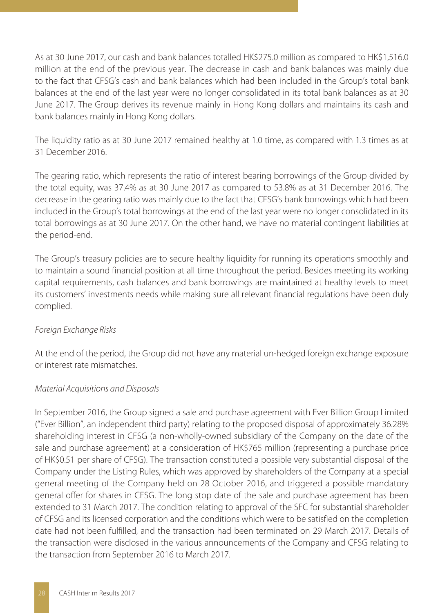As at 30 June 2017, our cash and bank balances totalled HK\$275.0 million as compared to HK\$1,516.0 million at the end of the previous year. The decrease in cash and bank balances was mainly due to the fact that CFSG's cash and bank balances which had been included in the Group's total bank balances at the end of the last year were no longer consolidated in its total bank balances as at 30 June 2017. The Group derives its revenue mainly in Hong Kong dollars and maintains its cash and bank balances mainly in Hong Kong dollars.

The liquidity ratio as at 30 June 2017 remained healthy at 1.0 time, as compared with 1.3 times as at 31 December 2016.

The gearing ratio, which represents the ratio of interest bearing borrowings of the Group divided by the total equity, was 37.4% as at 30 June 2017 as compared to 53.8% as at 31 December 2016. The decrease in the gearing ratio was mainly due to the fact that CFSG's bank borrowings which had been included in the Group's total borrowings at the end of the last year were no longer consolidated in its total borrowings as at 30 June 2017. On the other hand, we have no material contingent liabilities at the period-end.

The Group's treasury policies are to secure healthy liquidity for running its operations smoothly and to maintain a sound financial position at all time throughout the period. Besides meeting its working capital requirements, cash balances and bank borrowings are maintained at healthy levels to meet its customers' investments needs while making sure all relevant financial regulations have been duly complied.

# Foreign Exchange Risks

At the end of the period, the Group did not have any material un-hedged foreign exchange exposure or interest rate mismatches.

# Material Acquisitions and Disposals

In September 2016, the Group signed a sale and purchase agreement with Ever Billion Group Limited ("Ever Billion", an independent third party) relating to the proposed disposal of approximately 36.28% shareholding interest in CFSG (a non-wholly-owned subsidiary of the Company on the date of the sale and purchase agreement) at a consideration of HK\$765 million (representing a purchase price of HK\$0.51 per share of CFSG). The transaction constituted a possible very substantial disposal of the Company under the Listing Rules, which was approved by shareholders of the Company at a special general meeting of the Company held on 28 October 2016, and triggered a possible mandatory general offer for shares in CFSG. The long stop date of the sale and purchase agreement has been extended to 31 March 2017. The condition relating to approval of the SFC for substantial shareholder of CFSG and its licensed corporation and the conditions which were to be satisfied on the completion date had not been fulfilled, and the transaction had been terminated on 29 March 2017. Details of the transaction were disclosed in the various announcements of the Company and CFSG relating to the transaction from September 2016 to March 2017.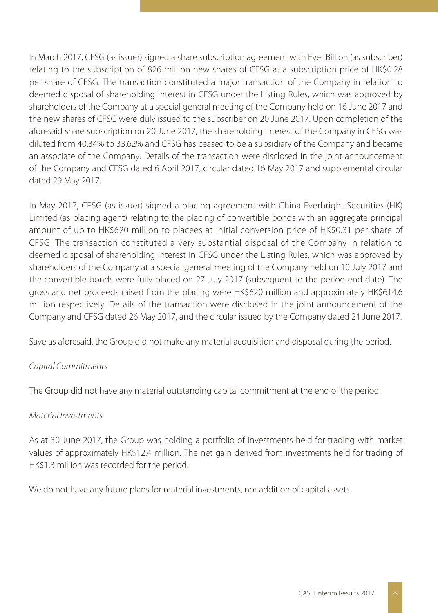In March 2017, CFSG (as issuer) signed a share subscription agreement with Ever Billion (as subscriber) relating to the subscription of 826 million new shares of CFSG at a subscription price of HK\$0.28 per share of CFSG. The transaction constituted a major transaction of the Company in relation to deemed disposal of shareholding interest in CFSG under the Listing Rules, which was approved by shareholders of the Company at a special general meeting of the Company held on 16 June 2017 and the new shares of CFSG were duly issued to the subscriber on 20 June 2017. Upon completion of the aforesaid share subscription on 20 June 2017, the shareholding interest of the Company in CFSG was diluted from 40.34% to 33.62% and CFSG has ceased to be a subsidiary of the Company and became an associate of the Company. Details of the transaction were disclosed in the joint announcement of the Company and CFSG dated 6 April 2017, circular dated 16 May 2017 and supplemental circular dated 29 May 2017.

In May 2017, CFSG (as issuer) signed a placing agreement with China Everbright Securities (HK) Limited (as placing agent) relating to the placing of convertible bonds with an aggregate principal amount of up to HK\$620 million to placees at initial conversion price of HK\$0.31 per share of CFSG. The transaction constituted a very substantial disposal of the Company in relation to deemed disposal of shareholding interest in CFSG under the Listing Rules, which was approved by shareholders of the Company at a special general meeting of the Company held on 10 July 2017 and the convertible bonds were fully placed on 27 July 2017 (subsequent to the period-end date). The gross and net proceeds raised from the placing were HK\$620 million and approximately HK\$614.6 million respectively. Details of the transaction were disclosed in the joint announcement of the Company and CFSG dated 26 May 2017, and the circular issued by the Company dated 21 June 2017.

Save as aforesaid, the Group did not make any material acquisition and disposal during the period.

# Capital Commitments

The Group did not have any material outstanding capital commitment at the end of the period.

# Material Investments

As at 30 June 2017, the Group was holding a portfolio of investments held for trading with market values of approximately HK\$12.4 million. The net gain derived from investments held for trading of HK\$1.3 million was recorded for the period.

We do not have any future plans for material investments, nor addition of capital assets.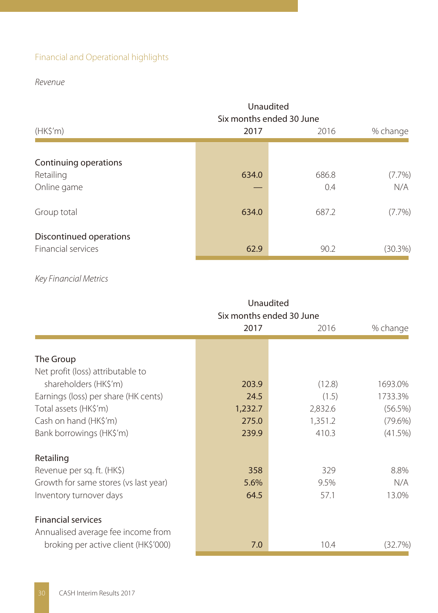# Financial and Operational highlights

# Revenue

|                                                                  | Unaudited      | Six months ended 30 June |                               |
|------------------------------------------------------------------|----------------|--------------------------|-------------------------------|
| (HK\$'m)                                                         | 2017           | 2016                     | % change                      |
| Continuing operations<br>Retailing<br>Online game<br>Group total | 634.0<br>634.0 | 686.8<br>0.4<br>687.2    | $(7.7\%)$<br>N/A<br>$(7.7\%)$ |
| Discontinued operations<br>Financial services                    | 62.9           | 90.2                     | $(30.3\%)$                    |

# Key Financial Metrics

|                                                                 | Unaudited<br>Six months ended 30 June |         |            |  |  |
|-----------------------------------------------------------------|---------------------------------------|---------|------------|--|--|
|                                                                 | 2017                                  | 2016    | % change   |  |  |
|                                                                 |                                       |         |            |  |  |
| The Group                                                       |                                       |         |            |  |  |
| Net profit (loss) attributable to                               |                                       |         |            |  |  |
| shareholders (HK\$'m)                                           | 203.9                                 | (12.8)  | 1693.0%    |  |  |
| Earnings (loss) per share (HK cents)                            | 24.5                                  | (1.5)   | 1733.3%    |  |  |
| Total assets (HK\$'m)                                           | 1,232.7                               | 2,832.6 | (56.5%)    |  |  |
| Cash on hand (HK\$'m)                                           | 275.0                                 | 1,351.2 | $(79.6\%)$ |  |  |
| Bank borrowings (HK\$'m)                                        | 239.9                                 | 410.3   | (41.5%)    |  |  |
| Retailing                                                       |                                       |         |            |  |  |
| Revenue per sq. ft. (HK\$)                                      | 358                                   | 329     | 8.8%       |  |  |
| Growth for same stores (vs last year)                           | 5.6%                                  | 9.5%    | N/A        |  |  |
| Inventory turnover days                                         | 64.5                                  | 57.1    | 13.0%      |  |  |
| <b>Financial services</b><br>Annualised average fee income from |                                       |         |            |  |  |
| broking per active client (HK\$'000)                            | 7.0                                   | 10.4    | (32.7%)    |  |  |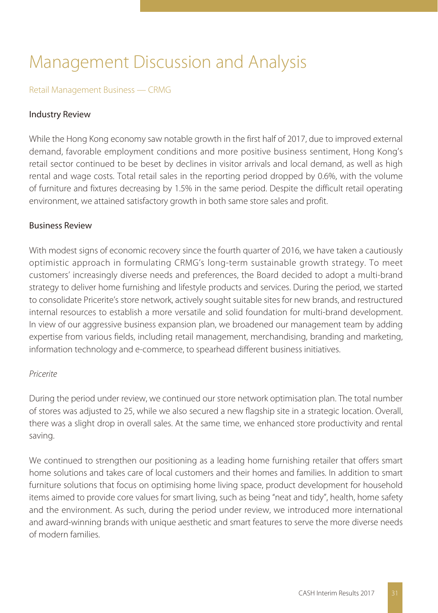# Management Discussion and Analysis

### Retail Management Business — CRMG

### Industry Review

While the Hong Kong economy saw notable growth in the first half of 2017, due to improved external demand, favorable employment conditions and more positive business sentiment, Hong Kong's retail sector continued to be beset by declines in visitor arrivals and local demand, as well as high rental and wage costs. Total retail sales in the reporting period dropped by 0.6%, with the volume of furniture and fixtures decreasing by 1.5% in the same period. Despite the difficult retail operating environment, we attained satisfactory growth in both same store sales and profit.

### Business Review

With modest signs of economic recovery since the fourth quarter of 2016, we have taken a cautiously optimistic approach in formulating CRMG's long-term sustainable growth strategy. To meet customers' increasingly diverse needs and preferences, the Board decided to adopt a multi-brand strategy to deliver home furnishing and lifestyle products and services. During the period, we started to consolidate Pricerite's store network, actively sought suitable sites for new brands, and restructured internal resources to establish a more versatile and solid foundation for multi-brand development. In view of our aggressive business expansion plan, we broadened our management team by adding expertise from various fields, including retail management, merchandising, branding and marketing, information technology and e-commerce, to spearhead different business initiatives.

#### Pricerite

During the period under review, we continued our store network optimisation plan. The total number of stores was adjusted to 25, while we also secured a new flagship site in a strategic location. Overall, there was a slight drop in overall sales. At the same time, we enhanced store productivity and rental saving.

We continued to strengthen our positioning as a leading home furnishing retailer that offers smart home solutions and takes care of local customers and their homes and families. In addition to smart furniture solutions that focus on optimising home living space, product development for household items aimed to provide core values for smart living, such as being "neat and tidy", health, home safety and the environment. As such, during the period under review, we introduced more international and award-winning brands with unique aesthetic and smart features to serve the more diverse needs of modern families.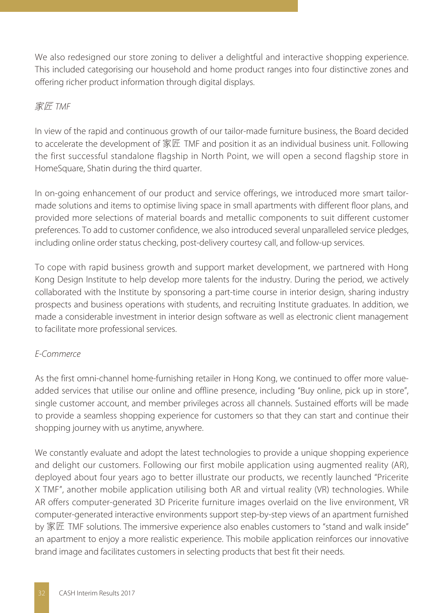We also redesigned our store zoning to deliver a delightful and interactive shopping experience. This included categorising our household and home product ranges into four distinctive zones and offering richer product information through digital displays.

# 家匠 TMF

In view of the rapid and continuous growth of our tailor-made furniture business, the Board decided to accelerate the development of 家匠 TMF and position it as an individual business unit. Following the first successful standalone flagship in North Point, we will open a second flagship store in HomeSquare, Shatin during the third quarter.

In on-going enhancement of our product and service offerings, we introduced more smart tailormade solutions and items to optimise living space in small apartments with different floor plans, and provided more selections of material boards and metallic components to suit different customer preferences. To add to customer confidence, we also introduced several unparalleled service pledges, including online order status checking, post-delivery courtesy call, and follow-up services.

To cope with rapid business growth and support market development, we partnered with Hong Kong Design Institute to help develop more talents for the industry. During the period, we actively collaborated with the Institute by sponsoring a part-time course in interior design, sharing industry prospects and business operations with students, and recruiting Institute graduates. In addition, we made a considerable investment in interior design software as well as electronic client management to facilitate more professional services.

# E-Commerce

As the first omni-channel home-furnishing retailer in Hong Kong, we continued to offer more valueadded services that utilise our online and offline presence, including "Buy online, pick up in store", single customer account, and member privileges across all channels. Sustained efforts will be made to provide a seamless shopping experience for customers so that they can start and continue their shopping journey with us anytime, anywhere.

We constantly evaluate and adopt the latest technologies to provide a unique shopping experience and delight our customers. Following our first mobile application using augmented reality (AR), deployed about four years ago to better illustrate our products, we recently launched "Pricerite X TMF", another mobile application utilising both AR and virtual reality (VR) technologies. While AR offers computer-generated 3D Pricerite furniture images overlaid on the live environment, VR computer-generated interactive environments support step-by-step views of an apartment furnished by 家匠 TMF solutions. The immersive experience also enables customers to "stand and walk inside" an apartment to enjoy a more realistic experience. This mobile application reinforces our innovative brand image and facilitates customers in selecting products that best fit their needs.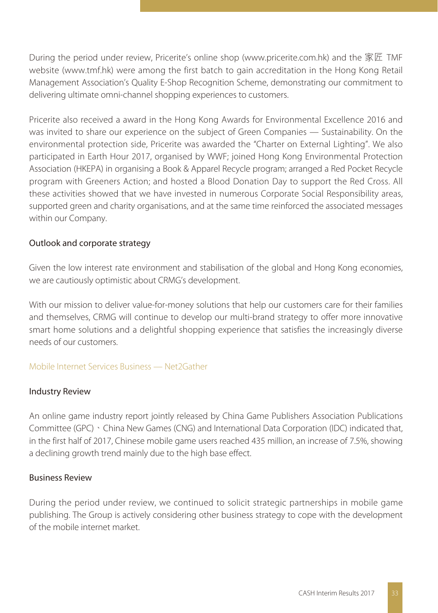During the period under review, Pricerite's online shop (www.pricerite.com.hk) and the 家匠 TMF website (www.tmf.hk) were among the first batch to gain accreditation in the Hong Kong Retail Management Association's Quality E-Shop Recognition Scheme, demonstrating our commitment to delivering ultimate omni-channel shopping experiences to customers.

Pricerite also received a award in the Hong Kong Awards for Environmental Excellence 2016 and was invited to share our experience on the subject of Green Companies — Sustainability. On the environmental protection side, Pricerite was awarded the "Charter on External Lighting". We also participated in Earth Hour 2017, organised by WWF; joined Hong Kong Environmental Protection Association (HKEPA) in organising a Book & Apparel Recycle program; arranged a Red Pocket Recycle program with Greeners Action; and hosted a Blood Donation Day to support the Red Cross. All these activities showed that we have invested in numerous Corporate Social Responsibility areas, supported green and charity organisations, and at the same time reinforced the associated messages within our Company.

# Outlook and corporate strategy

Given the low interest rate environment and stabilisation of the global and Hong Kong economies, we are cautiously optimistic about CRMG's development.

With our mission to deliver value-for-money solutions that help our customers care for their families and themselves, CRMG will continue to develop our multi-brand strategy to offer more innovative smart home solutions and a delightful shopping experience that satisfies the increasingly diverse needs of our customers.

# Mobile Internet Services Business — Net2Gather

# Industry Review

An online game industry report jointly released by China Game Publishers Association Publications Committee (GPC)、China New Games (CNG) and International Data Corporation (IDC) indicated that, in the first half of 2017, Chinese mobile game users reached 435 million, an increase of 7.5%, showing a declining growth trend mainly due to the high base effect.

# Business Review

During the period under review, we continued to solicit strategic partnerships in mobile game publishing. The Group is actively considering other business strategy to cope with the development of the mobile internet market.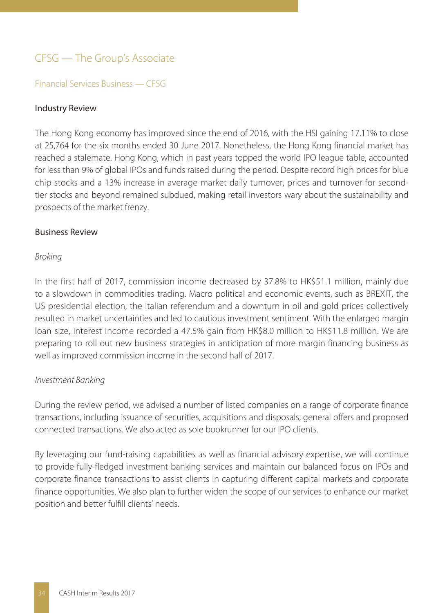# CFSG — The Group's Associate

### Financial Services Business — CFSG

#### Industry Review

The Hong Kong economy has improved since the end of 2016, with the HSI gaining 17.11% to close at 25,764 for the six months ended 30 June 2017. Nonetheless, the Hong Kong financial market has reached a stalemate. Hong Kong, which in past years topped the world IPO league table, accounted for less than 9% of global IPOs and funds raised during the period. Despite record high prices for blue chip stocks and a 13% increase in average market daily turnover, prices and turnover for secondtier stocks and beyond remained subdued, making retail investors wary about the sustainability and prospects of the market frenzy.

#### Business Review

#### Broking

In the first half of 2017, commission income decreased by 37.8% to HK\$51.1 million, mainly due to a slowdown in commodities trading. Macro political and economic events, such as BREXIT, the US presidential election, the Italian referendum and a downturn in oil and gold prices collectively resulted in market uncertainties and led to cautious investment sentiment. With the enlarged margin loan size, interest income recorded a 47.5% gain from HK\$8.0 million to HK\$11.8 million. We are preparing to roll out new business strategies in anticipation of more margin financing business as well as improved commission income in the second half of 2017.

#### Investment Banking

During the review period, we advised a number of listed companies on a range of corporate finance transactions, including issuance of securities, acquisitions and disposals, general offers and proposed connected transactions. We also acted as sole bookrunner for our IPO clients.

By leveraging our fund-raising capabilities as well as financial advisory expertise, we will continue to provide fully-fledged investment banking services and maintain our balanced focus on IPOs and corporate finance transactions to assist clients in capturing different capital markets and corporate finance opportunities. We also plan to further widen the scope of our services to enhance our market position and better fulfill clients' needs.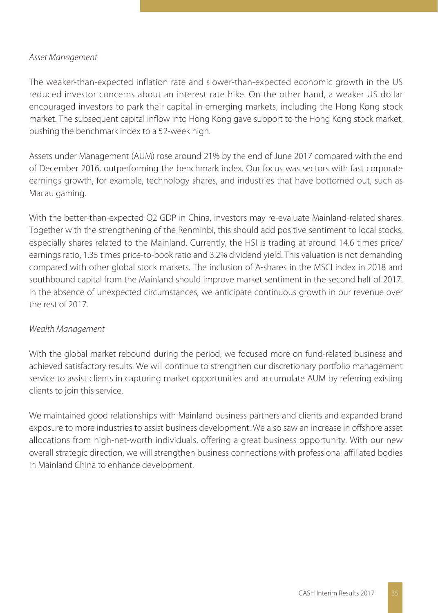# Asset Management

The weaker-than-expected inflation rate and slower-than-expected economic growth in the US reduced investor concerns about an interest rate hike. On the other hand, a weaker US dollar encouraged investors to park their capital in emerging markets, including the Hong Kong stock market. The subsequent capital inflow into Hong Kong gave support to the Hong Kong stock market, pushing the benchmark index to a 52-week high.

Assets under Management (AUM) rose around 21% by the end of June 2017 compared with the end of December 2016, outperforming the benchmark index. Our focus was sectors with fast corporate earnings growth, for example, technology shares, and industries that have bottomed out, such as Macau gaming.

With the better-than-expected Q2 GDP in China, investors may re-evaluate Mainland-related shares. Together with the strengthening of the Renminbi, this should add positive sentiment to local stocks, especially shares related to the Mainland. Currently, the HSI is trading at around 14.6 times price/ earnings ratio, 1.35 times price-to-book ratio and 3.2% dividend yield. This valuation is not demanding compared with other global stock markets. The inclusion of A-shares in the MSCI index in 2018 and southbound capital from the Mainland should improve market sentiment in the second half of 2017. In the absence of unexpected circumstances, we anticipate continuous growth in our revenue over the rest of 2017.

# Wealth Management

With the global market rebound during the period, we focused more on fund-related business and achieved satisfactory results. We will continue to strengthen our discretionary portfolio management service to assist clients in capturing market opportunities and accumulate AUM by referring existing clients to join this service.

We maintained good relationships with Mainland business partners and clients and expanded brand exposure to more industries to assist business development. We also saw an increase in offshore asset allocations from high-net-worth individuals, offering a great business opportunity. With our new overall strategic direction, we will strengthen business connections with professional affiliated bodies in Mainland China to enhance development.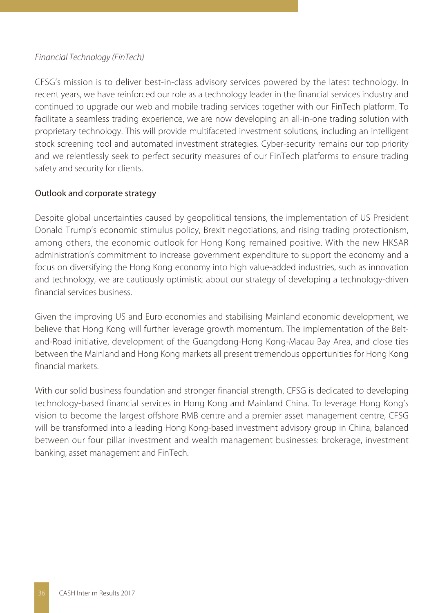# Financial Technology (FinTech)

CFSG's mission is to deliver best-in-class advisory services powered by the latest technology. In recent years, we have reinforced our role as a technology leader in the financial services industry and continued to upgrade our web and mobile trading services together with our FinTech platform. To facilitate a seamless trading experience, we are now developing an all-in-one trading solution with proprietary technology. This will provide multifaceted investment solutions, including an intelligent stock screening tool and automated investment strategies. Cyber-security remains our top priority and we relentlessly seek to perfect security measures of our FinTech platforms to ensure trading safety and security for clients.

# Outlook and corporate strategy

Despite global uncertainties caused by geopolitical tensions, the implementation of US President Donald Trump's economic stimulus policy, Brexit negotiations, and rising trading protectionism, among others, the economic outlook for Hong Kong remained positive. With the new HKSAR administration's commitment to increase government expenditure to support the economy and a focus on diversifying the Hong Kong economy into high value-added industries, such as innovation and technology, we are cautiously optimistic about our strategy of developing a technology-driven financial services business.

Given the improving US and Euro economies and stabilising Mainland economic development, we believe that Hong Kong will further leverage growth momentum. The implementation of the Beltand-Road initiative, development of the Guangdong-Hong Kong-Macau Bay Area, and close ties between the Mainland and Hong Kong markets all present tremendous opportunities for Hong Kong financial markets.

With our solid business foundation and stronger financial strength, CFSG is dedicated to developing technology-based financial services in Hong Kong and Mainland China. To leverage Hong Kong's vision to become the largest offshore RMB centre and a premier asset management centre, CFSG will be transformed into a leading Hong Kong-based investment advisory group in China, balanced between our four pillar investment and wealth management businesses: brokerage, investment banking, asset management and FinTech.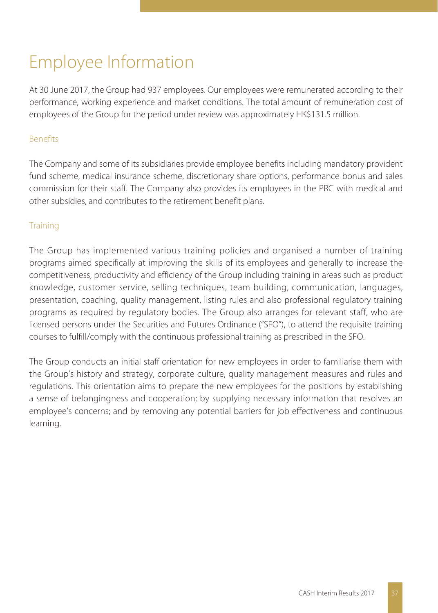# Employee Information

At 30 June 2017, the Group had 937 employees. Our employees were remunerated according to their performance, working experience and market conditions. The total amount of remuneration cost of employees of the Group for the period under review was approximately HK\$131.5 million.

# Benefits

The Company and some of its subsidiaries provide employee benefits including mandatory provident fund scheme, medical insurance scheme, discretionary share options, performance bonus and sales commission for their staff. The Company also provides its employees in the PRC with medical and other subsidies, and contributes to the retirement benefit plans.

# **Training**

The Group has implemented various training policies and organised a number of training programs aimed specifically at improving the skills of its employees and generally to increase the competitiveness, productivity and efficiency of the Group including training in areas such as product knowledge, customer service, selling techniques, team building, communication, languages, presentation, coaching, quality management, listing rules and also professional regulatory training programs as required by regulatory bodies. The Group also arranges for relevant staff, who are licensed persons under the Securities and Futures Ordinance ("SFO"), to attend the requisite training courses to fulfill/comply with the continuous professional training as prescribed in the SFO.

The Group conducts an initial staff orientation for new employees in order to familiarise them with the Group's history and strategy, corporate culture, quality management measures and rules and regulations. This orientation aims to prepare the new employees for the positions by establishing a sense of belongingness and cooperation; by supplying necessary information that resolves an employee's concerns; and by removing any potential barriers for job effectiveness and continuous learning.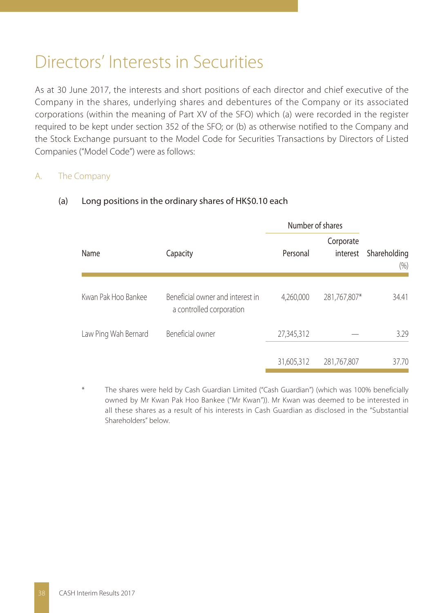# Directors' Interests in Securities

As at 30 June 2017, the interests and short positions of each director and chief executive of the Company in the shares, underlying shares and debentures of the Company or its associated corporations (within the meaning of Part XV of the SFO) which (a) were recorded in the register required to be kept under section 352 of the SFO; or (b) as otherwise notified to the Company and the Stock Exchange pursuant to the Model Code for Securities Transactions by Directors of Listed Companies ("Model Code") were as follows:

# A. The Company

|                      |                                                              | Number of shares |                       |                      |  |
|----------------------|--------------------------------------------------------------|------------------|-----------------------|----------------------|--|
| Name                 | Capacity                                                     | Personal         | Corporate<br>interest | Shareholding<br>(% ) |  |
| Kwan Pak Hoo Bankee  | Beneficial owner and interest in<br>a controlled corporation | 4,260,000        | 281,767,807*          | 34.41                |  |
| Law Ping Wah Bernard | Beneficial owner                                             | 27,345,312       |                       | 3.29                 |  |
|                      |                                                              | 31,605,312       | 281,767,807           | 37.70                |  |

# (a) Long positions in the ordinary shares of HK\$0.10 each

The shares were held by Cash Guardian Limited ("Cash Guardian") (which was 100% beneficially owned by Mr Kwan Pak Hoo Bankee ("Mr Kwan")). Mr Kwan was deemed to be interested in all these shares as a result of his interests in Cash Guardian as disclosed in the "Substantial Shareholders" below.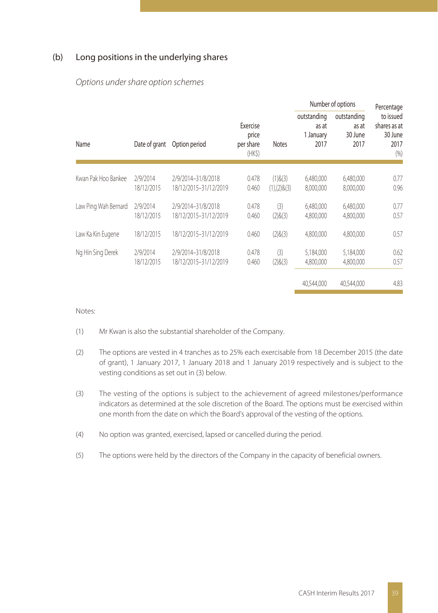### (b) Long positions in the underlying shares

|                      |                        |                                             |                                         |                                    |                                           | Number of options                       | Percentage                                           |
|----------------------|------------------------|---------------------------------------------|-----------------------------------------|------------------------------------|-------------------------------------------|-----------------------------------------|------------------------------------------------------|
| Name                 | Date of grant          | Option period                               | Exercise<br>price<br>per share<br>(HKS) | <b>Notes</b>                       | outstanding<br>as at<br>1 January<br>2017 | outstanding<br>as at<br>30 June<br>2017 | to issued<br>shares as at<br>30 June<br>2017<br>(% ) |
| Kwan Pak Hoo Bankee  | 2/9/2014<br>18/12/2015 | 2/9/2014-31/8/2018<br>18/12/2015-31/12/2019 | 0.478<br>0.460                          | $(1)$ & $(3)$<br>$(1),(2)$ & $(3)$ | 6.480.000<br>8,000,000                    | 6,480,000<br>8,000,000                  | 0.77<br>0.96                                         |
| Law Ping Wah Bernard | 2/9/2014<br>18/12/2015 | 2/9/2014-31/8/2018<br>18/12/2015-31/12/2019 | 0.478<br>0.460                          | (3)<br>(2)8(3)                     | 6.480.000<br>4.800.000                    | 6,480,000<br>4,800,000                  | 0.77<br>0.57                                         |
| Law Ka Kin Eugene    | 18/12/2015             | 18/12/2015-31/12/2019                       | 0.460                                   | (2)8(3)                            | 4,800,000                                 | 4,800,000                               | 0.57                                                 |
| Ng Hin Sing Derek    | 2/9/2014<br>18/12/2015 | 2/9/2014-31/8/2018<br>18/12/2015-31/12/2019 | 0.478<br>0.460                          | (3)<br>(2)8(3)                     | 5,184,000<br>4.800.000                    | 5,184,000<br>4,800,000                  | 0.62<br>0.57                                         |
|                      |                        |                                             |                                         |                                    | 40.544.000                                | 40.544.000                              | 4.83                                                 |

#### Options under share option schemes

Notes:

- (1) Mr Kwan is also the substantial shareholder of the Company.
- (2) The options are vested in 4 tranches as to 25% each exercisable from 18 December 2015 (the date of grant), 1 January 2017, 1 January 2018 and 1 January 2019 respectively and is subject to the vesting conditions as set out in (3) below.
- (3) The vesting of the options is subject to the achievement of agreed milestones/performance indicators as determined at the sole discretion of the Board. The options must be exercised within one month from the date on which the Board's approval of the vesting of the options.
- (4) No option was granted, exercised, lapsed or cancelled during the period.
- (5) The options were held by the directors of the Company in the capacity of beneficial owners.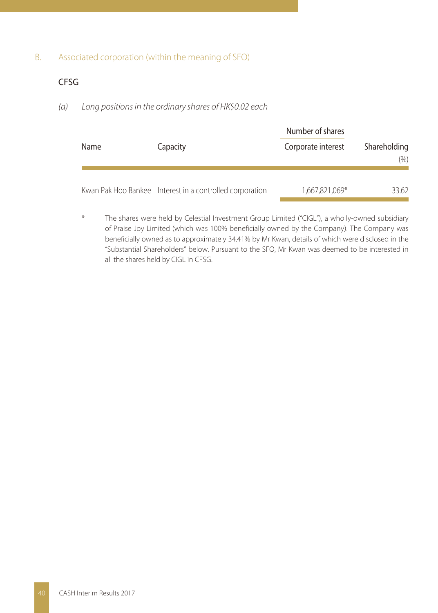### B. Associated corporation (within the meaning of SFO)

# CFSG

#### (a) Long positions in the ordinary shares of HK\$0.02 each

| Name | Capacity                                                 | Number of shares<br>Corporate interest | Shareholding |
|------|----------------------------------------------------------|----------------------------------------|--------------|
|      |                                                          |                                        | $(\%)$       |
|      | Kwan Pak Hoo Bankee Interest in a controlled corporation | 1,667,821,069*                         | 33.62        |

The shares were held by Celestial Investment Group Limited ("CIGL"), a wholly-owned subsidiary of Praise Joy Limited (which was 100% beneficially owned by the Company). The Company was beneficially owned as to approximately 34.41% by Mr Kwan, details of which were disclosed in the "Substantial Shareholders" below. Pursuant to the SFO, Mr Kwan was deemed to be interested in all the shares held by CIGL in CFSG.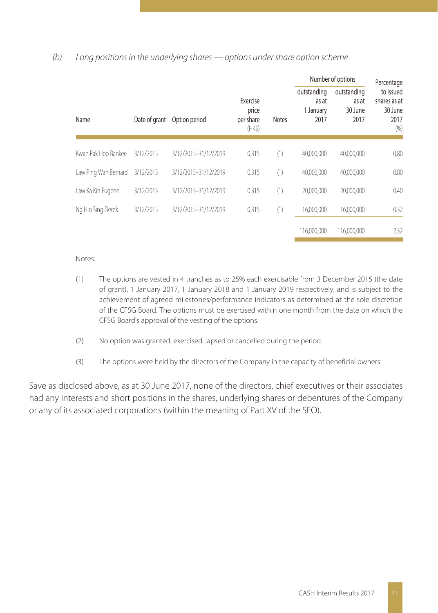### (b) Long positions in the underlying shares — options under share option scheme

|                      |               |                      |                                          |              | Number of options                         |                                         | Percentage                                           |  |
|----------------------|---------------|----------------------|------------------------------------------|--------------|-------------------------------------------|-----------------------------------------|------------------------------------------------------|--|
| Name                 | Date of grant | Option period        | Exercise<br>price<br>per share<br>$(HK\$ | <b>Notes</b> | outstanding<br>as at<br>1 January<br>2017 | outstanding<br>as at<br>30 June<br>2017 | to issued<br>shares as at<br>30 June<br>2017<br>(% ) |  |
|                      |               |                      |                                          |              |                                           |                                         |                                                      |  |
| Kwan Pak Hoo Bankee  | 3/12/2015     | 3/12/2015-31/12/2019 | 0.315                                    | (1)          | 40.000.000                                | 40.000.000                              | 0.80                                                 |  |
| Law Ping Wah Bernard | 3/12/2015     | 3/12/2015-31/12/2019 | 0.315                                    | (1)          | 40,000,000                                | 40.000.000                              | 0.80                                                 |  |
| Law Ka Kin Eugene    | 3/12/2015     | 3/12/2015-31/12/2019 | 0.315                                    | (1)          | 20,000,000                                | 20,000,000                              | 0.40                                                 |  |
| Ng Hin Sing Derek    | 3/12/2015     | 3/12/2015-31/12/2019 | 0.315                                    | (1)          | 16.000.000                                | 16.000.000                              | 0.32                                                 |  |
|                      |               |                      |                                          |              | 116,000,000                               | 116,000,000                             | 2.32                                                 |  |

#### Notes:

- (1) The options are vested in 4 tranches as to 25% each exercisable from 3 December 2015 (the date of grant), 1 January 2017, 1 January 2018 and 1 January 2019 respectively, and is subject to the achievement of agreed milestones/performance indicators as determined at the sole discretion of the CFSG Board. The options must be exercised within one month from the date on which the CFSG Board's approval of the vesting of the options.
- (2) No option was granted, exercised, lapsed or cancelled during the period.
- (3) The options were held by the directors of the Company in the capacity of beneficial owners.

Save as disclosed above, as at 30 June 2017, none of the directors, chief executives or their associates had any interests and short positions in the shares, underlying shares or debentures of the Company or any of its associated corporations (within the meaning of Part XV of the SFO).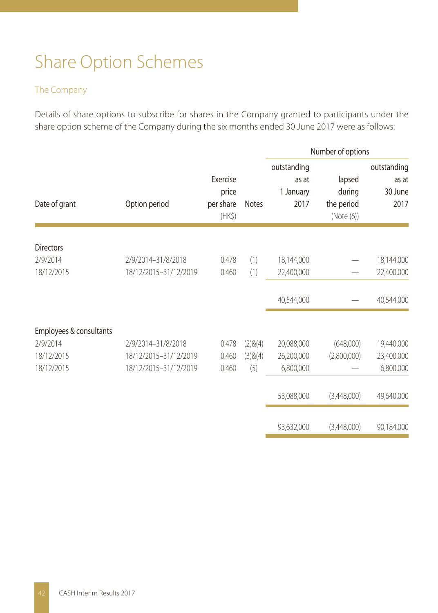# Share Option Schemes

# The Company

Details of share options to subscribe for shares in the Company granted to participants under the share option scheme of the Company during the six months ended 30 June 2017 were as follows:

|                              |                       |                                               |              |                                           | Number of options                           |                                         |
|------------------------------|-----------------------|-----------------------------------------------|--------------|-------------------------------------------|---------------------------------------------|-----------------------------------------|
| Date of grant                | Option period         | Exercise<br>price<br>per share<br>$(HK\zeta)$ | <b>Notes</b> | outstanding<br>as at<br>1 January<br>2017 | lapsed<br>during<br>the period<br>(Note(6)) | outstanding<br>as at<br>30 June<br>2017 |
|                              |                       |                                               |              |                                           |                                             |                                         |
| <b>Directors</b><br>2/9/2014 | 2/9/2014-31/8/2018    | 0.478                                         | (1)          | 18,144,000                                |                                             | 18,144,000                              |
| 18/12/2015                   | 18/12/2015-31/12/2019 | 0.460                                         | (1)          | 22,400,000                                |                                             | 22,400,000                              |
|                              |                       |                                               |              | 40,544,000                                |                                             | 40,544,000                              |
| Employees & consultants      |                       |                                               |              |                                           |                                             |                                         |
| 2/9/2014                     | 2/9/2014-31/8/2018    | 0.478                                         | (2)8(4)      | 20,088,000                                | (648,000)                                   | 19,440,000                              |
| 18/12/2015                   | 18/12/2015-31/12/2019 | 0.460                                         | (3)8(4)      | 26,200,000                                | (2,800,000)                                 | 23,400,000                              |
| 18/12/2015                   | 18/12/2015-31/12/2019 | 0.460                                         | (5)          | 6,800,000                                 |                                             | 6,800,000                               |
|                              |                       |                                               |              | 53,088,000                                | (3,448,000)                                 | 49,640,000                              |
|                              |                       |                                               |              |                                           |                                             |                                         |
|                              |                       |                                               |              | 93,632,000                                | (3,448,000)                                 | 90,184,000                              |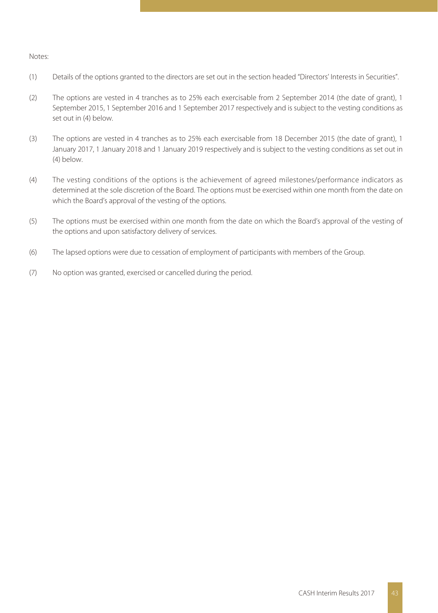#### Notes:

- (1) Details of the options granted to the directors are set out in the section headed "Directors' Interests in Securities".
- (2) The options are vested in 4 tranches as to 25% each exercisable from 2 September 2014 (the date of grant), 1 September 2015, 1 September 2016 and 1 September 2017 respectively and is subject to the vesting conditions as set out in (4) below.
- (3) The options are vested in 4 tranches as to 25% each exercisable from 18 December 2015 (the date of grant), 1 January 2017, 1 January 2018 and 1 January 2019 respectively and is subject to the vesting conditions as set out in (4) below.
- (4) The vesting conditions of the options is the achievement of agreed milestones/performance indicators as determined at the sole discretion of the Board. The options must be exercised within one month from the date on which the Board's approval of the vesting of the options.
- (5) The options must be exercised within one month from the date on which the Board's approval of the vesting of the options and upon satisfactory delivery of services.
- (6) The lapsed options were due to cessation of employment of participants with members of the Group.
- (7) No option was granted, exercised or cancelled during the period.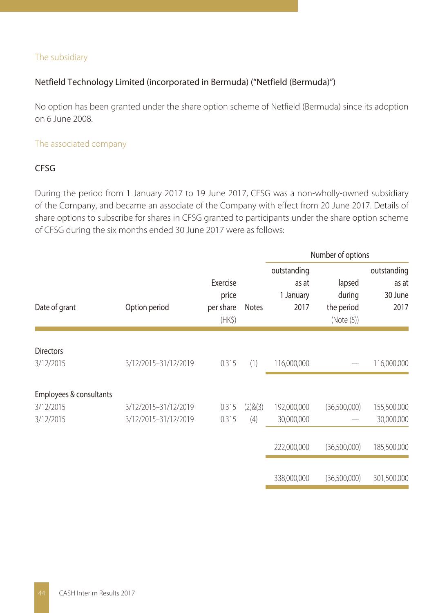# The subsidiary

# Netfield Technology Limited (incorporated in Bermuda) ("Netfield (Bermuda)")

No option has been granted under the share option scheme of Netfield (Bermuda) since its adoption on 6 June 2008.

### The associated company

# CFSG

During the period from 1 January 2017 to 19 June 2017, CFSG was a non-wholly-owned subsidiary of the Company, and became an associate of the Company with effect from 20 June 2017. Details of share options to subscribe for shares in CFSG granted to participants under the share option scheme of CFSG during the six months ended 30 June 2017 were as follows:

|                                                   |                                              |                                          |                | Number of options                         |                                              |                                         |  |
|---------------------------------------------------|----------------------------------------------|------------------------------------------|----------------|-------------------------------------------|----------------------------------------------|-----------------------------------------|--|
| Date of grant                                     | Option period                                | Exercise<br>price<br>per share<br>$(HK\$ | <b>Notes</b>   | outstanding<br>as at<br>1 January<br>2017 | lapsed<br>during<br>the period<br>(Note (5)) | outstanding<br>as at<br>30 June<br>2017 |  |
| <b>Directors</b><br>3/12/2015                     | 3/12/2015-31/12/2019                         | 0.315                                    | (1)            | 116,000,000                               |                                              | 116,000,000                             |  |
| Employees & consultants<br>3/12/2015<br>3/12/2015 | 3/12/2015-31/12/2019<br>3/12/2015-31/12/2019 | 0.315<br>0.315                           | (2)8(3)<br>(4) | 192,000,000<br>30,000,000                 | (36,500,000)                                 | 155,500,000<br>30,000,000               |  |
|                                                   |                                              |                                          |                | 222,000,000                               | (36,500,000)                                 | 185,500,000                             |  |
|                                                   |                                              |                                          |                | 338,000,000                               | (36,500,000)                                 | 301,500,000                             |  |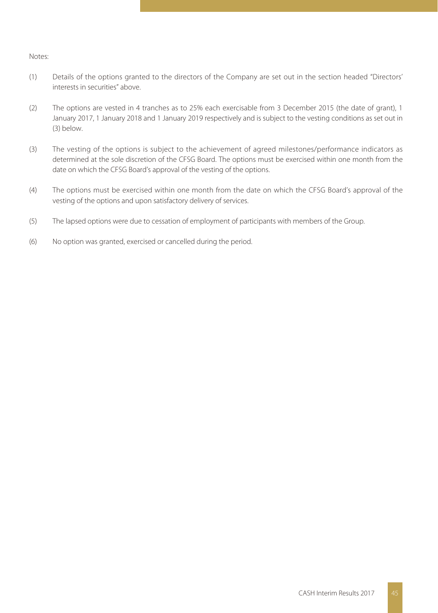#### Notes:

- (1) Details of the options granted to the directors of the Company are set out in the section headed "Directors' interests in securities" above.
- (2) The options are vested in 4 tranches as to 25% each exercisable from 3 December 2015 (the date of grant), 1 January 2017, 1 January 2018 and 1 January 2019 respectively and is subject to the vesting conditions as set out in (3) below.
- (3) The vesting of the options is subject to the achievement of agreed milestones/performance indicators as determined at the sole discretion of the CFSG Board. The options must be exercised within one month from the date on which the CFSG Board's approval of the vesting of the options.
- (4) The options must be exercised within one month from the date on which the CFSG Board's approval of the vesting of the options and upon satisfactory delivery of services.
- (5) The lapsed options were due to cessation of employment of participants with members of the Group.
- (6) No option was granted, exercised or cancelled during the period.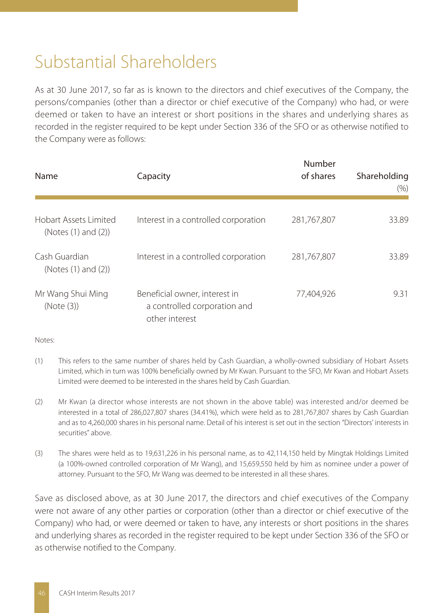# Substantial Shareholders

As at 30 June 2017, so far as is known to the directors and chief executives of the Company, the persons/companies (other than a director or chief executive of the Company) who had, or were deemed or taken to have an interest or short positions in the shares and underlying shares as recorded in the register required to be kept under Section 336 of the SFO or as otherwise notified to the Company were as follows:

| Name                                         | Capacity                                                                        | Number<br>of shares | Shareholding<br>(% ) |
|----------------------------------------------|---------------------------------------------------------------------------------|---------------------|----------------------|
| Hobart Assets Limited<br>(Notes (1) and (2)) | Interest in a controlled corporation                                            | 281,767,807         | 33.89                |
| Cash Guardian<br>(Notes (1) and (2))         | Interest in a controlled corporation                                            | 281,767,807         | 33.89                |
| Mr Wang Shui Ming<br>(Note (3))              | Beneficial owner, interest in<br>a controlled corporation and<br>other interest | 77.404.926          | 9.31                 |

Notes:

- (1) This refers to the same number of shares held by Cash Guardian, a wholly-owned subsidiary of Hobart Assets Limited, which in turn was 100% beneficially owned by Mr Kwan. Pursuant to the SFO, Mr Kwan and Hobart Assets Limited were deemed to be interested in the shares held by Cash Guardian.
- (2) Mr Kwan (a director whose interests are not shown in the above table) was interested and/or deemed be interested in a total of 286,027,807 shares (34.41%), which were held as to 281,767,807 shares by Cash Guardian and as to 4,260,000 shares in his personal name. Detail of his interest is set out in the section "Directors' interests in securities" above.
- (3) The shares were held as to 19,631,226 in his personal name, as to 42,114,150 held by Mingtak Holdings Limited (a 100%-owned controlled corporation of Mr Wang), and 15,659,550 held by him as nominee under a power of attorney. Pursuant to the SFO, Mr Wang was deemed to be interested in all these shares.

Save as disclosed above, as at 30 June 2017, the directors and chief executives of the Company were not aware of any other parties or corporation (other than a director or chief executive of the Company) who had, or were deemed or taken to have, any interests or short positions in the shares and underlying shares as recorded in the register required to be kept under Section 336 of the SFO or as otherwise notified to the Company.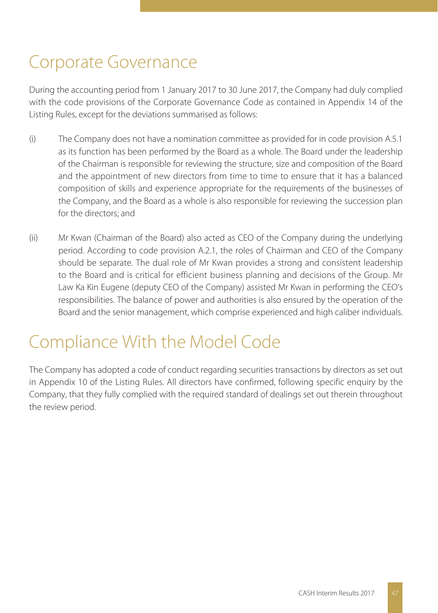# Corporate Governance

During the accounting period from 1 January 2017 to 30 June 2017, the Company had duly complied with the code provisions of the Corporate Governance Code as contained in Appendix 14 of the Listing Rules, except for the deviations summarised as follows:

- (i) The Company does not have a nomination committee as provided for in code provision A.5.1 as its function has been performed by the Board as a whole. The Board under the leadership of the Chairman is responsible for reviewing the structure, size and composition of the Board and the appointment of new directors from time to time to ensure that it has a balanced composition of skills and experience appropriate for the requirements of the businesses of the Company, and the Board as a whole is also responsible for reviewing the succession plan for the directors; and
- (ii) Mr Kwan (Chairman of the Board) also acted as CEO of the Company during the underlying period. According to code provision A.2.1, the roles of Chairman and CEO of the Company should be separate. The dual role of Mr Kwan provides a strong and consistent leadership to the Board and is critical for efficient business planning and decisions of the Group. Mr Law Ka Kin Eugene (deputy CEO of the Company) assisted Mr Kwan in performing the CEO's responsibilities. The balance of power and authorities is also ensured by the operation of the Board and the senior management, which comprise experienced and high caliber individuals.

# Compliance With the Model Code

The Company has adopted a code of conduct regarding securities transactions by directors as set out in Appendix 10 of the Listing Rules. All directors have confirmed, following specific enquiry by the Company, that they fully complied with the required standard of dealings set out therein throughout the review period.